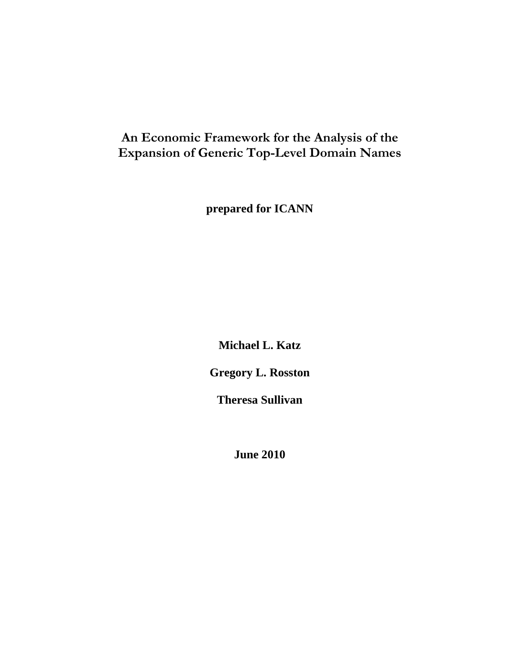# **An Economic Framework for the Analysis of the Expansion of Generic Top-Level Domain Names**

**prepared for ICANN** 

**Michael L. Katz** 

**Gregory L. Rosston** 

**Theresa Sullivan** 

**June 2010**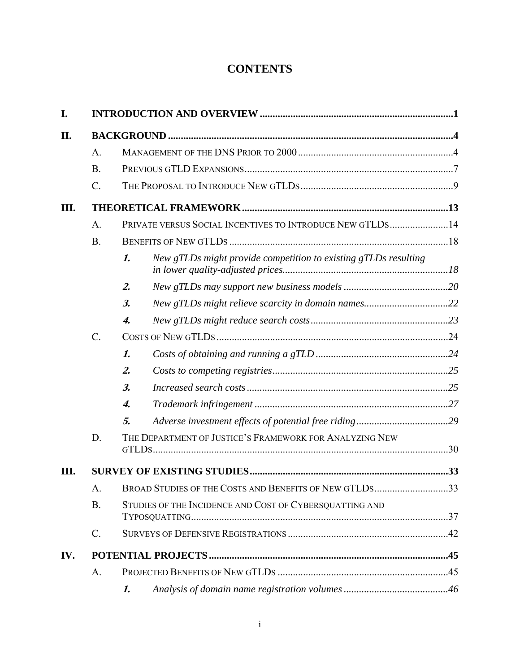# **CONTENTS**

| I.   |                 |                  |                                                                 |     |  |
|------|-----------------|------------------|-----------------------------------------------------------------|-----|--|
| II.  |                 |                  |                                                                 |     |  |
|      | A.              |                  |                                                                 |     |  |
|      | <b>B</b> .      |                  |                                                                 |     |  |
|      | $\mathcal{C}$ . |                  |                                                                 |     |  |
| III. |                 |                  |                                                                 |     |  |
|      | A.              |                  | PRIVATE VERSUS SOCIAL INCENTIVES TO INTRODUCE NEW GTLDS14       |     |  |
|      | B.              |                  |                                                                 |     |  |
|      |                 | 1.               | New gTLDs might provide competition to existing gTLDs resulting |     |  |
|      |                 | $\mathbf{2}$ .   |                                                                 |     |  |
|      |                 | $\mathfrak{Z}$ . | New gTLDs might relieve scarcity in domain names22              |     |  |
|      |                 | 4.               |                                                                 |     |  |
|      | $C_{\cdot}$     |                  |                                                                 |     |  |
|      |                 | 1.               |                                                                 |     |  |
|      |                 | $\mathbf{2}$ .   |                                                                 |     |  |
|      |                 | $\mathfrak{Z}$ . |                                                                 |     |  |
|      |                 | 4.               |                                                                 |     |  |
|      |                 | 5.               |                                                                 |     |  |
|      | D.              |                  | THE DEPARTMENT OF JUSTICE'S FRAMEWORK FOR ANALYZING NEW         |     |  |
| Ш.   |                 |                  |                                                                 |     |  |
|      | A.              |                  | BROAD STUDIES OF THE COSTS AND BENEFITS OF NEW GTLDS            | .33 |  |
|      | B.              |                  | STUDIES OF THE INCIDENCE AND COST OF CYBERSQUATTING AND         |     |  |
|      | C.              |                  |                                                                 |     |  |
| IV.  |                 |                  |                                                                 |     |  |
|      | $A$ .           |                  |                                                                 |     |  |
|      |                 | 1.               |                                                                 |     |  |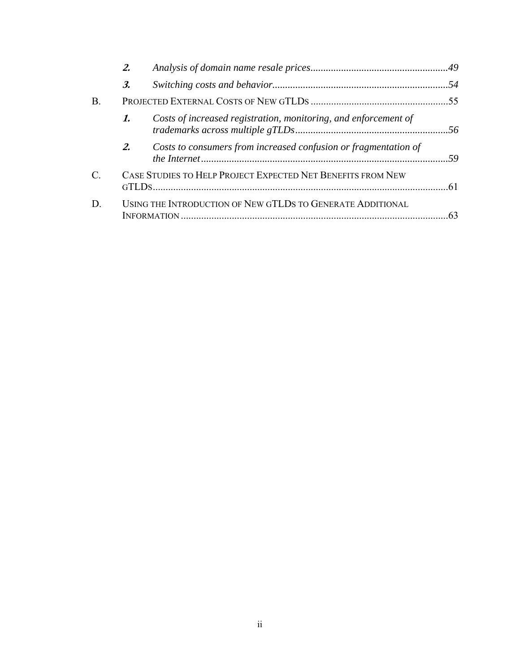|                 | 2.               |                                                                 |  |
|-----------------|------------------|-----------------------------------------------------------------|--|
|                 | $\mathfrak{Z}$ . |                                                                 |  |
| Β.              |                  |                                                                 |  |
|                 | 1.               | Costs of increased registration, monitoring, and enforcement of |  |
|                 | 2.               | Costs to consumers from increased confusion or fragmentation of |  |
| $\mathcal{C}$ . |                  | CASE STUDIES TO HELP PROJECT EXPECTED NET BENEFITS FROM NEW     |  |
| D.              |                  | USING THE INTRODUCTION OF NEW GTLDS TO GENERATE ADDITIONAL      |  |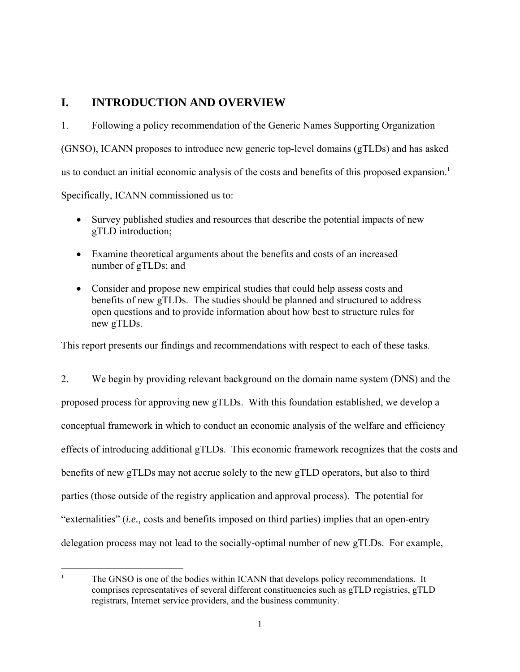# **I. INTRODUCTION AND OVERVIEW**

1. Following a policy recommendation of the Generic Names Supporting Organization (GNSO), ICANN proposes to introduce new generic top-level domains (gTLDs) and has asked us to conduct an initial economic analysis of the costs and benefits of this proposed expansion.<sup>1</sup> Specifically, ICANN commissioned us to:

- Survey published studies and resources that describe the potential impacts of new gTLD introduction;
- Examine theoretical arguments about the benefits and costs of an increased number of gTLDs; and
- Consider and propose new empirical studies that could help assess costs and benefits of new gTLDs. The studies should be planned and structured to address open questions and to provide information about how best to structure rules for new gTLDs.

This report presents our findings and recommendations with respect to each of these tasks.

2. We begin by providing relevant background on the domain name system (DNS) and the proposed process for approving new gTLDs. With this foundation established, we develop a conceptual framework in which to conduct an economic analysis of the welfare and efficiency effects of introducing additional gTLDs. This economic framework recognizes that the costs and benefits of new gTLDs may not accrue solely to the new gTLD operators, but also to third parties (those outside of the registry application and approval process). The potential for "externalities" (*i.e.,* costs and benefits imposed on third parties) implies that an open-entry delegation process may not lead to the socially-optimal number of new gTLDs. For example,

 $\frac{1}{1}$  The GNSO is one of the bodies within ICANN that develops policy recommendations. It comprises representatives of several different constituencies such as gTLD registries, gTLD registrars, Internet service providers, and the business community.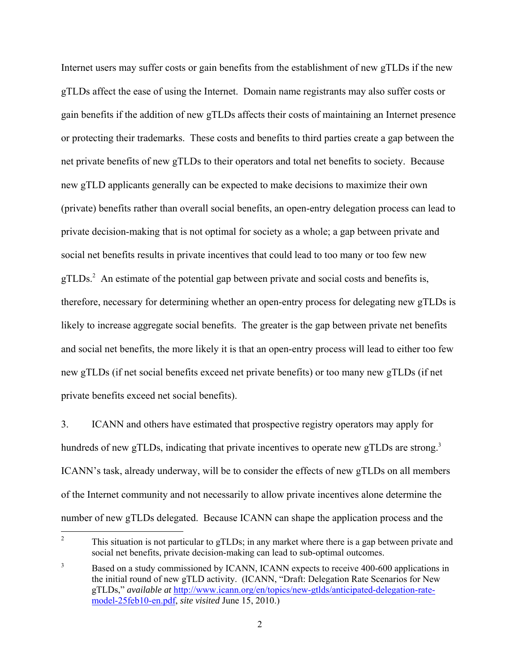Internet users may suffer costs or gain benefits from the establishment of new gTLDs if the new gTLDs affect the ease of using the Internet. Domain name registrants may also suffer costs or gain benefits if the addition of new gTLDs affects their costs of maintaining an Internet presence or protecting their trademarks. These costs and benefits to third parties create a gap between the net private benefits of new gTLDs to their operators and total net benefits to society. Because new gTLD applicants generally can be expected to make decisions to maximize their own (private) benefits rather than overall social benefits, an open-entry delegation process can lead to private decision-making that is not optimal for society as a whole; a gap between private and social net benefits results in private incentives that could lead to too many or too few new gTLDs.<sup>2</sup> An estimate of the potential gap between private and social costs and benefits is, therefore, necessary for determining whether an open-entry process for delegating new gTLDs is likely to increase aggregate social benefits. The greater is the gap between private net benefits and social net benefits, the more likely it is that an open-entry process will lead to either too few new gTLDs (if net social benefits exceed net private benefits) or too many new gTLDs (if net private benefits exceed net social benefits).

3. ICANN and others have estimated that prospective registry operators may apply for hundreds of new gTLDs, indicating that private incentives to operate new gTLDs are strong.<sup>3</sup> ICANN's task, already underway, will be to consider the effects of new gTLDs on all members of the Internet community and not necessarily to allow private incentives alone determine the number of new gTLDs delegated. Because ICANN can shape the application process and the

 $\frac{1}{2}$  This situation is not particular to gTLDs; in any market where there is a gap between private and social net benefits, private decision-making can lead to sub-optimal outcomes.

<sup>3</sup> Based on a study commissioned by ICANN, ICANN expects to receive 400-600 applications in the initial round of new gTLD activity. (ICANN, "Draft: Delegation Rate Scenarios for New gTLDs," *available at* http://www.icann.org/en/topics/new-gtlds/anticipated-delegation-ratemodel-25feb10-en.pdf, *site visited* June 15, 2010.)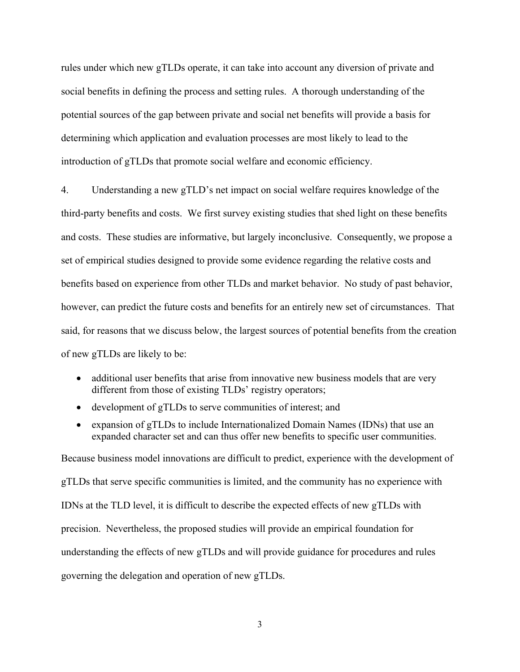rules under which new gTLDs operate, it can take into account any diversion of private and social benefits in defining the process and setting rules. A thorough understanding of the potential sources of the gap between private and social net benefits will provide a basis for determining which application and evaluation processes are most likely to lead to the introduction of gTLDs that promote social welfare and economic efficiency.

4. Understanding a new gTLD's net impact on social welfare requires knowledge of the third-party benefits and costs. We first survey existing studies that shed light on these benefits and costs. These studies are informative, but largely inconclusive. Consequently, we propose a set of empirical studies designed to provide some evidence regarding the relative costs and benefits based on experience from other TLDs and market behavior. No study of past behavior, however, can predict the future costs and benefits for an entirely new set of circumstances. That said, for reasons that we discuss below, the largest sources of potential benefits from the creation of new gTLDs are likely to be:

- additional user benefits that arise from innovative new business models that are very different from those of existing TLDs' registry operators;
- development of gTLDs to serve communities of interest; and
- expansion of gTLDs to include Internationalized Domain Names (IDNs) that use an expanded character set and can thus offer new benefits to specific user communities.

Because business model innovations are difficult to predict, experience with the development of gTLDs that serve specific communities is limited, and the community has no experience with IDNs at the TLD level, it is difficult to describe the expected effects of new gTLDs with precision. Nevertheless, the proposed studies will provide an empirical foundation for understanding the effects of new gTLDs and will provide guidance for procedures and rules governing the delegation and operation of new gTLDs.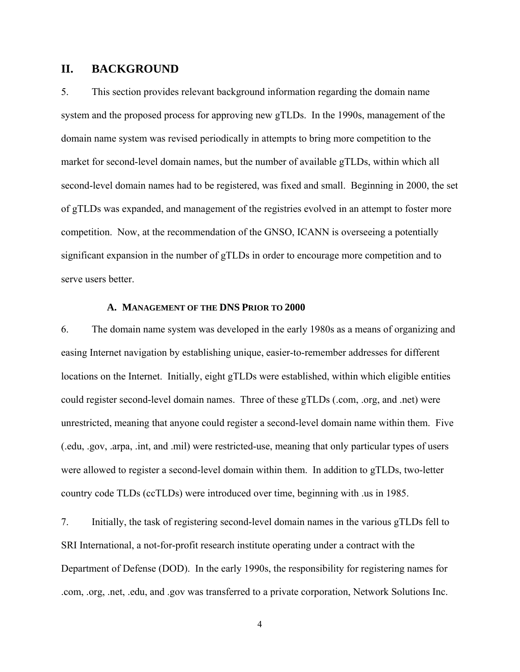# **II. BACKGROUND**

5. This section provides relevant background information regarding the domain name system and the proposed process for approving new gTLDs. In the 1990s, management of the domain name system was revised periodically in attempts to bring more competition to the market for second-level domain names, but the number of available gTLDs, within which all second-level domain names had to be registered, was fixed and small. Beginning in 2000, the set of gTLDs was expanded, and management of the registries evolved in an attempt to foster more competition. Now, at the recommendation of the GNSO, ICANN is overseeing a potentially significant expansion in the number of gTLDs in order to encourage more competition and to serve users better.

#### **A. MANAGEMENT OF THE DNS PRIOR TO 2000**

6. The domain name system was developed in the early 1980s as a means of organizing and easing Internet navigation by establishing unique, easier-to-remember addresses for different locations on the Internet. Initially, eight gTLDs were established, within which eligible entities could register second-level domain names. Three of these gTLDs (.com, .org, and .net) were unrestricted, meaning that anyone could register a second-level domain name within them. Five (.edu, .gov, .arpa, .int, and .mil) were restricted-use, meaning that only particular types of users were allowed to register a second-level domain within them. In addition to gTLDs, two-letter country code TLDs (ccTLDs) were introduced over time, beginning with .us in 1985.

7. Initially, the task of registering second-level domain names in the various gTLDs fell to SRI International, a not-for-profit research institute operating under a contract with the Department of Defense (DOD). In the early 1990s, the responsibility for registering names for .com, .org, .net, .edu, and .gov was transferred to a private corporation, Network Solutions Inc.

4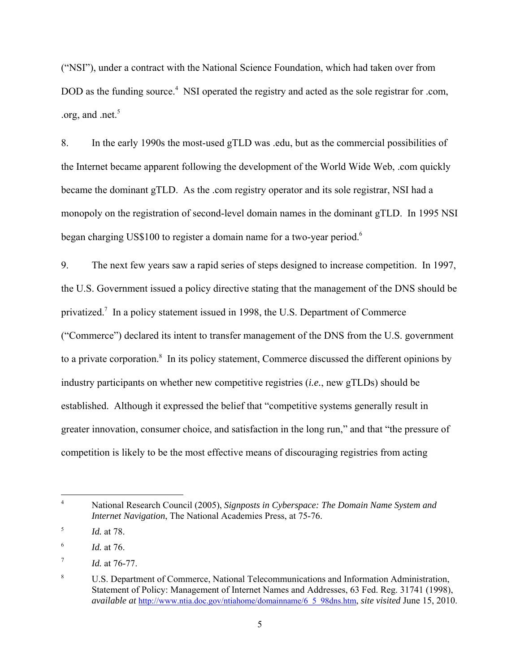("NSI"), under a contract with the National Science Foundation, which had taken over from DOD as the funding source.<sup>4</sup> NSI operated the registry and acted as the sole registrar for .com, .org, and .net. $5$ 

8. In the early 1990s the most-used gTLD was .edu, but as the commercial possibilities of the Internet became apparent following the development of the World Wide Web, .com quickly became the dominant gTLD. As the .com registry operator and its sole registrar, NSI had a monopoly on the registration of second-level domain names in the dominant gTLD. In 1995 NSI began charging US\$100 to register a domain name for a two-year period.<sup>6</sup>

9. The next few years saw a rapid series of steps designed to increase competition. In 1997, the U.S. Government issued a policy directive stating that the management of the DNS should be privatized.<sup>7</sup> In a policy statement issued in 1998, the U.S. Department of Commerce ("Commerce") declared its intent to transfer management of the DNS from the U.S. government to a private corporation.<sup>8</sup> In its policy statement, Commerce discussed the different opinions by industry participants on whether new competitive registries (*i.e.*, new gTLDs) should be established. Although it expressed the belief that "competitive systems generally result in greater innovation, consumer choice, and satisfaction in the long run," and that "the pressure of competition is likely to be the most effective means of discouraging registries from acting

 $\overline{a}$ 

<sup>4</sup> National Research Council (2005), *Signposts in Cyberspace: The Domain Name System and Internet Navigation*, The National Academies Press, at 75-76.

<sup>5</sup> *Id.* at 78.

<sup>6</sup> *Id.* at 76.

<sup>7</sup> *Id.* at 76-77.

<sup>8</sup> U.S. Department of Commerce, National Telecommunications and Information Administration, Statement of Policy: Management of Internet Names and Addresses, 63 Fed. Reg. 31741 (1998), *available at* http://www.ntia.doc.gov/ntiahome/domainname/6\_5\_98dns.htm, *site visited* June 15, 2010.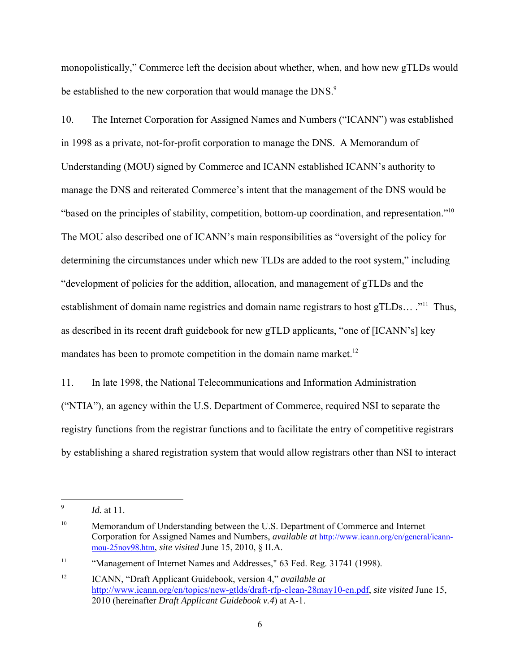monopolistically," Commerce left the decision about whether, when, and how new gTLDs would be established to the new corporation that would manage the DNS.<sup>9</sup>

10. The Internet Corporation for Assigned Names and Numbers ("ICANN") was established in 1998 as a private, not-for-profit corporation to manage the DNS. A Memorandum of Understanding (MOU) signed by Commerce and ICANN established ICANN's authority to manage the DNS and reiterated Commerce's intent that the management of the DNS would be "based on the principles of stability, competition, bottom-up coordination, and representation."10 The MOU also described one of ICANN's main responsibilities as "oversight of the policy for determining the circumstances under which new TLDs are added to the root system," including "development of policies for the addition, allocation, and management of gTLDs and the establishment of domain name registries and domain name registrars to host gTLDs… ."<sup>11</sup> Thus, as described in its recent draft guidebook for new gTLD applicants, "one of [ICANN's] key mandates has been to promote competition in the domain name market.<sup>12</sup>

11. In late 1998, the National Telecommunications and Information Administration ("NTIA"), an agency within the U.S. Department of Commerce, required NSI to separate the registry functions from the registrar functions and to facilitate the entry of competitive registrars by establishing a shared registration system that would allow registrars other than NSI to interact

<sup>-&</sup>lt;br>9 *Id.* at 11.

<sup>&</sup>lt;sup>10</sup> Memorandum of Understanding between the U.S. Department of Commerce and Internet Corporation for Assigned Names and Numbers, *available at* http://www.icann.org/en/general/icannmou-25nov98.htm, *site visited* June 15, 2010, § II.A.

<sup>&</sup>lt;sup>11</sup> "Management of Internet Names and Addresses," 63 Fed. Reg. 31741 (1998).

<sup>12</sup> ICANN, "Draft Applicant Guidebook, version 4," *available at* http://www.icann.org/en/topics/new-gtlds/draft-rfp-clean-28may10-en.pdf, *site visited* June 15, 2010 (hereinafter *Draft Applicant Guidebook v.4*) at A-1.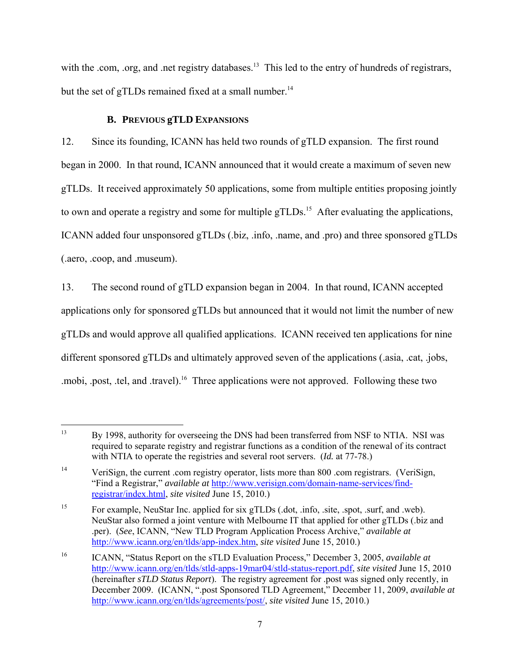with the .com, .org, and .net registry databases.<sup>13</sup> This led to the entry of hundreds of registrars, but the set of gTLDs remained fixed at a small number.<sup>14</sup>

# **B. PREVIOUS gTLD EXPANSIONS**

12. Since its founding, ICANN has held two rounds of gTLD expansion. The first round began in 2000. In that round, ICANN announced that it would create a maximum of seven new gTLDs. It received approximately 50 applications, some from multiple entities proposing jointly to own and operate a registry and some for multiple gTLDs.<sup>15</sup> After evaluating the applications, ICANN added four unsponsored gTLDs (.biz, .info, .name, and .pro) and three sponsored gTLDs (.aero, .coop, and .museum).

13. The second round of gTLD expansion began in 2004. In that round, ICANN accepted applications only for sponsored gTLDs but announced that it would not limit the number of new gTLDs and would approve all qualified applications. ICANN received ten applications for nine different sponsored gTLDs and ultimately approved seven of the applications (.asia, .cat, .jobs, .mobi, .post, .tel, and .travel).<sup>16</sup> Three applications were not approved. Following these two

 $\overline{a}$ <sup>13</sup> By 1998, authority for overseeing the DNS had been transferred from NSF to NTIA. NSI was required to separate registry and registrar functions as a condition of the renewal of its contract with NTIA to operate the registries and several root servers. (*Id.* at 77-78.)

<sup>&</sup>lt;sup>14</sup> VeriSign, the current .com registry operator, lists more than 800 .com registrars. (VeriSign, "Find a Registrar," *available at* http://www.verisign.com/domain-name-services/findregistrar/index.html, *site visited* June 15, 2010.)

<sup>&</sup>lt;sup>15</sup> For example, NeuStar Inc. applied for six gTLDs (.dot, .info, .site, .spot, .surf, and .web). NeuStar also formed a joint venture with Melbourne IT that applied for other gTLDs (.biz and .per). (*See*, ICANN, "New TLD Program Application Process Archive," *available at* http://www.icann.org/en/tlds/app-index.htm, *site visited* June 15, 2010.)

<sup>16</sup> ICANN, "Status Report on the sTLD Evaluation Process," December 3, 2005, *available at* http://www.icann.org/en/tlds/stld-apps-19mar04/stld-status-report.pdf, *site visited* June 15, 2010 (hereinafter *sTLD Status Report*). The registry agreement for .post was signed only recently, in December 2009. (ICANN, ".post Sponsored TLD Agreement," December 11, 2009, *available at* http://www.icann.org/en/tlds/agreements/post/, *site visited* June 15, 2010.)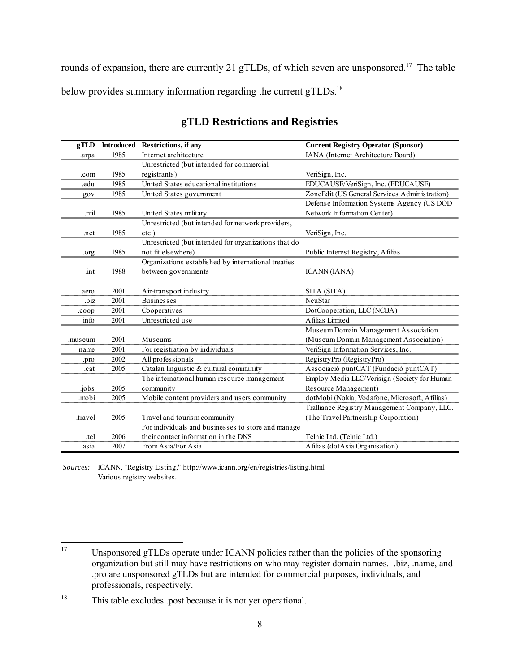rounds of expansion, there are currently 21 gTLDs, of which seven are unsponsored.<sup>17</sup> The table below provides summary information regarding the current gTLDs.<sup>18</sup>

| gTLD    |      | Introduced Restrictions, if any                      | <b>Current Registry Operator (Sponsor)</b>    |  |
|---------|------|------------------------------------------------------|-----------------------------------------------|--|
| .arpa   | 1985 | Internet architecture                                | IANA (Internet Architecture Board)            |  |
|         |      | Unrestricted (but intended for commercial            |                                               |  |
| .com    | 1985 | registrants)                                         | VeriSign, Inc.                                |  |
| .edu    | 1985 | United States educational institutions               | EDUCAUSE/VeriSign, Inc. (EDUCAUSE)            |  |
| .gov    | 1985 | United States government                             | ZoneEdit (US General Services Administration) |  |
|         |      |                                                      | Defense Information Systems Agency (US DOD    |  |
| .mil    | 1985 | United States military                               | Network Information Center)                   |  |
|         |      | Unrestricted (but intended for network providers,    |                                               |  |
| .net    | 1985 | $etc.$ )                                             | VeriSign, Inc.                                |  |
|         |      | Unrestricted (but intended for organizations that do |                                               |  |
| .org    | 1985 | not fit elsewhere)                                   | Public Interest Registry, Afilias             |  |
|         |      | Organizations established by international treaties  |                                               |  |
| .int    | 1988 | between governments                                  | <b>ICANN</b> (IANA)                           |  |
|         |      |                                                      |                                               |  |
| .aero   | 2001 | Air-transport industry                               | SITA (SITA)                                   |  |
| .biz    | 2001 | <b>Businesses</b>                                    | <b>NeuStar</b>                                |  |
| .coop   | 2001 | Cooperatives                                         | DotCooperation, LLC (NCBA)                    |  |
| .info   | 2001 | Unrestricted use                                     | A filias Limited                              |  |
|         |      |                                                      | Museum Domain Management Association          |  |
| .museum | 2001 | Museums                                              | (Museum Domain Management Association)        |  |
| .name   | 2001 | For registration by individuals                      | VeriSign Information Services, Inc.           |  |
| .pro    | 2002 | All professionals                                    | RegistryPro (RegistryPro)                     |  |
| .cat    | 2005 | Catalan linguistic & cultural community              | Associació puntCAT (Fundació puntCAT)         |  |
|         |      | The international human resource management          | Employ Media LLC/Verisign (Society for Human  |  |
| .jobs   | 2005 | community                                            | Resource Management)                          |  |
| .mobi   | 2005 | Mobile content providers and users community         | dotMobi (Nokia, Vodafone, Microsoft, Afilias) |  |
|         |      |                                                      | Tralliance Registry Management Company, LLC.  |  |
| .travel | 2005 | Travel and tourism community                         | (The Travel Partnership Corporation)          |  |
|         |      | For individuals and businesses to store and manage   |                                               |  |
| tel.    | 2006 | their contact information in the DNS                 | Telnic Ltd. (Telnic Ltd.)                     |  |
| asia    | 2007 | From Asia/For Asia                                   | Afilias (dotAsia Organisation)                |  |

# **gTLD Restrictions and Registries**

*Sources:* ICANN, "Registry Listing," http://www.icann.org/en/registries/listing.html. Various registry websites.

 $17\,$ Unsponsored gTLDs operate under ICANN policies rather than the policies of the sponsoring organization but still may have restrictions on who may register domain names. .biz, .name, and .pro are unsponsored gTLDs but are intended for commercial purposes, individuals, and professionals, respectively.

<sup>&</sup>lt;sup>18</sup> This table excludes .post because it is not yet operational.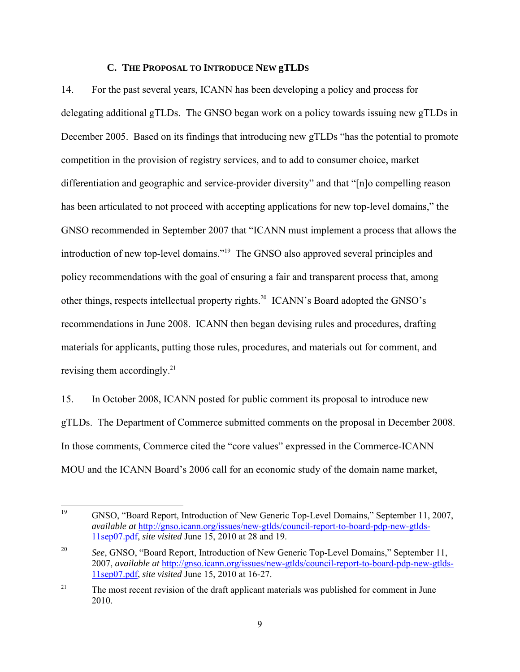#### **C. THE PROPOSAL TO INTRODUCE NEW gTLDS**

14. For the past several years, ICANN has been developing a policy and process for delegating additional gTLDs. The GNSO began work on a policy towards issuing new gTLDs in December 2005. Based on its findings that introducing new gTLDs "has the potential to promote competition in the provision of registry services, and to add to consumer choice, market differentiation and geographic and service-provider diversity" and that "[n]o compelling reason has been articulated to not proceed with accepting applications for new top-level domains," the GNSO recommended in September 2007 that "ICANN must implement a process that allows the introduction of new top-level domains."19 The GNSO also approved several principles and policy recommendations with the goal of ensuring a fair and transparent process that, among other things, respects intellectual property rights.20 ICANN's Board adopted the GNSO's recommendations in June 2008. ICANN then began devising rules and procedures, drafting materials for applicants, putting those rules, procedures, and materials out for comment, and revising them accordingly. $^{21}$ 

15. In October 2008, ICANN posted for public comment its proposal to introduce new gTLDs. The Department of Commerce submitted comments on the proposal in December 2008. In those comments, Commerce cited the "core values" expressed in the Commerce-ICANN MOU and the ICANN Board's 2006 call for an economic study of the domain name market,

<sup>19</sup> 19 GNSO, "Board Report, Introduction of New Generic Top-Level Domains," September 11, 2007, *available at* http://gnso.icann.org/issues/new-gtlds/council-report-to-board-pdp-new-gtlds-11sep07.pdf, *site visited* June 15, 2010 at 28 and 19.

<sup>&</sup>lt;sup>20</sup> *See*, GNSO, "Board Report, Introduction of New Generic Top-Level Domains," September 11, 2007, *available at* http://gnso.icann.org/issues/new-gtlds/council-report-to-board-pdp-new-gtlds-11sep07.pdf, *site visited* June 15, 2010 at 16-27.

<sup>&</sup>lt;sup>21</sup> The most recent revision of the draft applicant materials was published for comment in June 2010.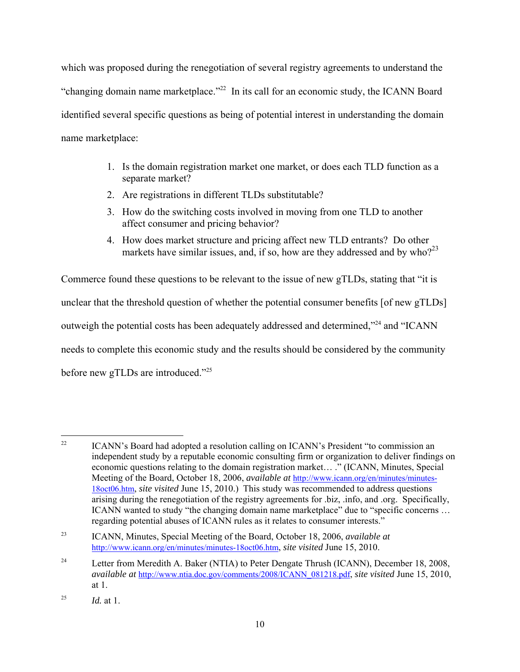which was proposed during the renegotiation of several registry agreements to understand the "changing domain name marketplace."<sup>22</sup> In its call for an economic study, the ICANN Board identified several specific questions as being of potential interest in understanding the domain name marketplace:

- 1. Is the domain registration market one market, or does each TLD function as a separate market?
- 2. Are registrations in different TLDs substitutable?
- 3. How do the switching costs involved in moving from one TLD to another affect consumer and pricing behavior?
- 4. How does market structure and pricing affect new TLD entrants? Do other markets have similar issues, and, if so, how are they addressed and by who? $23$

Commerce found these questions to be relevant to the issue of new gTLDs, stating that "it is unclear that the threshold question of whether the potential consumer benefits [of new gTLDs] outweigh the potential costs has been adequately addressed and determined,"<sup>24</sup> and "ICANN needs to complete this economic study and the results should be considered by the community before new gTLDs are introduced."<sup>25</sup>

 $22$ ICANN's Board had adopted a resolution calling on ICANN's President "to commission an independent study by a reputable economic consulting firm or organization to deliver findings on economic questions relating to the domain registration market… ." (ICANN, Minutes, Special Meeting of the Board, October 18, 2006, *available at* http://www.icann.org/en/minutes/minutes-18oct06.htm, *site visited* June 15, 2010.) This study was recommended to address questions arising during the renegotiation of the registry agreements for .biz, .info, and .org. Specifically, ICANN wanted to study "the changing domain name marketplace" due to "specific concerns … regarding potential abuses of ICANN rules as it relates to consumer interests."

<sup>23</sup> ICANN, Minutes, Special Meeting of the Board, October 18, 2006, *available at* http://www.icann.org/en/minutes/minutes-18oct06.htm, *site visited* June 15, 2010.

<sup>&</sup>lt;sup>24</sup> Letter from Meredith A. Baker (NTIA) to Peter Dengate Thrush (ICANN), December 18, 2008, *available at* http://www.ntia.doc.gov/comments/2008/ICANN\_081218.pdf, *site visited* June 15, 2010, at 1.

<sup>&</sup>lt;sup>25</sup> *Id.* at 1.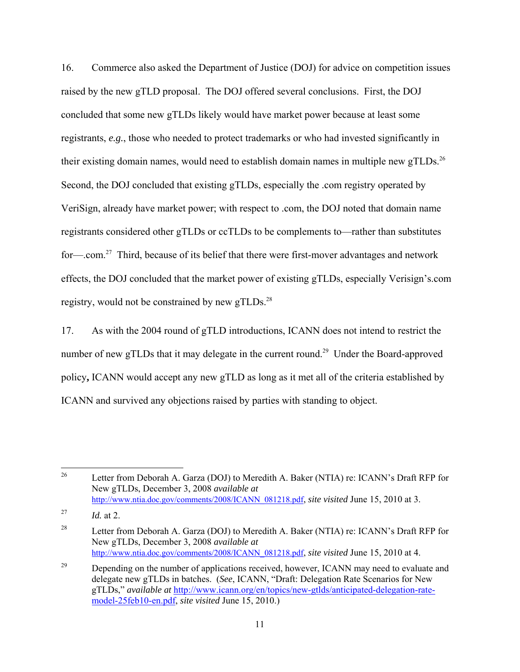16. Commerce also asked the Department of Justice (DOJ) for advice on competition issues raised by the new gTLD proposal. The DOJ offered several conclusions. First, the DOJ concluded that some new gTLDs likely would have market power because at least some registrants, *e.g.*, those who needed to protect trademarks or who had invested significantly in their existing domain names, would need to establish domain names in multiple new gTLDs.<sup>26</sup> Second, the DOJ concluded that existing gTLDs, especially the .com registry operated by VeriSign, already have market power; with respect to .com, the DOJ noted that domain name registrants considered other gTLDs or ccTLDs to be complements to—rather than substitutes for—.com.<sup>27</sup> Third, because of its belief that there were first-mover advantages and network effects, the DOJ concluded that the market power of existing gTLDs, especially Verisign's.com registry, would not be constrained by new  $gTLDs$ <sup>28</sup>

17. As with the 2004 round of gTLD introductions, ICANN does not intend to restrict the number of new gTLDs that it may delegate in the current round.<sup>29</sup> Under the Board-approved policy**,** ICANN would accept any new gTLD as long as it met all of the criteria established by ICANN and survived any objections raised by parties with standing to object.

<sup>26</sup> 26 Letter from Deborah A. Garza (DOJ) to Meredith A. Baker (NTIA) re: ICANN's Draft RFP for New gTLDs, December 3, 2008 *available at* http://www.ntia.doc.gov/comments/2008/ICANN\_081218.pdf, *site visited* June 15, 2010 at 3.

<sup>&</sup>lt;sup>27</sup> *Id.* at 2.

<sup>&</sup>lt;sup>28</sup> Letter from Deborah A. Garza (DOJ) to Meredith A. Baker (NTIA) re: ICANN's Draft RFP for New gTLDs, December 3, 2008 *available at* http://www.ntia.doc.gov/comments/2008/ICANN\_081218.pdf, *site visited* June 15, 2010 at 4.

<sup>&</sup>lt;sup>29</sup> Depending on the number of applications received, however, ICANN may need to evaluate and delegate new gTLDs in batches. (*See*, ICANN, "Draft: Delegation Rate Scenarios for New gTLDs," *available at* http://www.icann.org/en/topics/new-gtlds/anticipated-delegation-ratemodel-25feb10-en.pdf, *site visited* June 15, 2010.)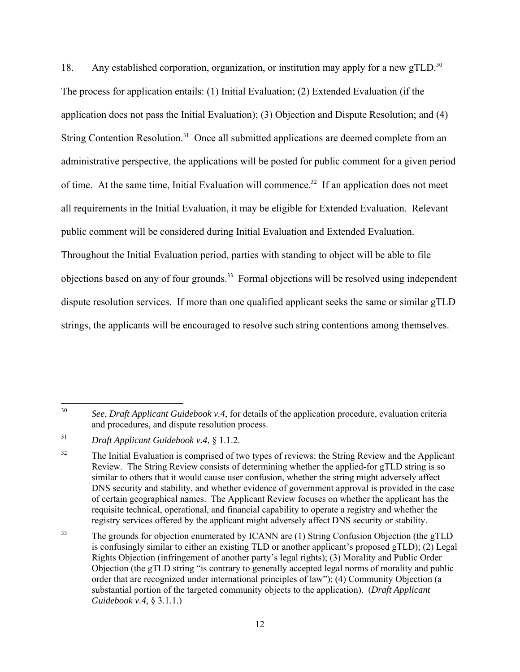18. Any established corporation, organization, or institution may apply for a new  $gTLD$ <sup>30</sup> The process for application entails: (1) Initial Evaluation; (2) Extended Evaluation (if the application does not pass the Initial Evaluation); (3) Objection and Dispute Resolution; and (4) String Contention Resolution.<sup>31</sup> Once all submitted applications are deemed complete from an administrative perspective, the applications will be posted for public comment for a given period of time. At the same time, Initial Evaluation will commence.<sup>32</sup> If an application does not meet all requirements in the Initial Evaluation, it may be eligible for Extended Evaluation. Relevant public comment will be considered during Initial Evaluation and Extended Evaluation. Throughout the Initial Evaluation period, parties with standing to object will be able to file objections based on any of four grounds.33 Formal objections will be resolved using independent dispute resolution services. If more than one qualified applicant seeks the same or similar gTLD strings, the applicants will be encouraged to resolve such string contentions among themselves.

 $30<sup>°</sup>$ 30 *See*, *Draft Applicant Guidebook v.4*, for details of the application procedure, evaluation criteria and procedures, and dispute resolution process.

<sup>31</sup> *Draft Applicant Guidebook v.4*, § 1.1.2.

<sup>&</sup>lt;sup>32</sup> The Initial Evaluation is comprised of two types of reviews: the String Review and the Applicant Review. The String Review consists of determining whether the applied-for gTLD string is so similar to others that it would cause user confusion, whether the string might adversely affect DNS security and stability, and whether evidence of government approval is provided in the case of certain geographical names. The Applicant Review focuses on whether the applicant has the requisite technical, operational, and financial capability to operate a registry and whether the registry services offered by the applicant might adversely affect DNS security or stability.

<sup>&</sup>lt;sup>33</sup> The grounds for objection enumerated by ICANN are (1) String Confusion Objection (the gTLD is confusingly similar to either an existing TLD or another applicant's proposed gTLD); (2) Legal Rights Objection (infringement of another party's legal rights); (3) Morality and Public Order Objection (the gTLD string "is contrary to generally accepted legal norms of morality and public order that are recognized under international principles of law"); (4) Community Objection (a substantial portion of the targeted community objects to the application). (*Draft Applicant Guidebook v.4*, § 3.1.1.)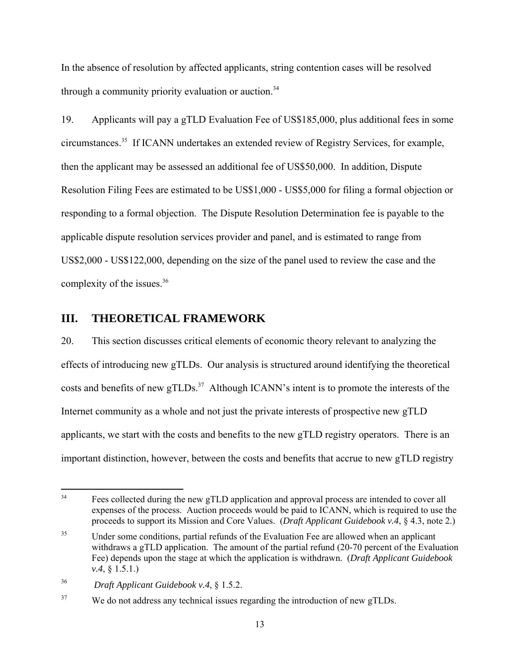In the absence of resolution by affected applicants, string contention cases will be resolved through a community priority evaluation or auction.<sup>34</sup>

19. Applicants will pay a gTLD Evaluation Fee of US\$185,000, plus additional fees in some circumstances.35 If ICANN undertakes an extended review of Registry Services, for example, then the applicant may be assessed an additional fee of US\$50,000. In addition, Dispute Resolution Filing Fees are estimated to be US\$1,000 - US\$5,000 for filing a formal objection or responding to a formal objection. The Dispute Resolution Determination fee is payable to the applicable dispute resolution services provider and panel, and is estimated to range from US\$2,000 - US\$122,000, depending on the size of the panel used to review the case and the complexity of the issues.<sup>36</sup>

# **III. THEORETICAL FRAMEWORK**

20. This section discusses critical elements of economic theory relevant to analyzing the effects of introducing new gTLDs. Our analysis is structured around identifying the theoretical costs and benefits of new gTLDs.<sup>37</sup> Although ICANN's intent is to promote the interests of the Internet community as a whole and not just the private interests of prospective new gTLD applicants, we start with the costs and benefits to the new gTLD registry operators. There is an important distinction, however, between the costs and benefits that accrue to new gTLD registry

 $34$ Fees collected during the new gTLD application and approval process are intended to cover all expenses of the process. Auction proceeds would be paid to ICANN, which is required to use the proceeds to support its Mission and Core Values. (*Draft Applicant Guidebook v.4*, § 4.3, note 2.)

<sup>&</sup>lt;sup>35</sup> Under some conditions, partial refunds of the Evaluation Fee are allowed when an applicant withdraws a gTLD application. The amount of the partial refund (20-70 percent of the Evaluation Fee) depends upon the stage at which the application is withdrawn. (*Draft Applicant Guidebook v.4*, § 1.5.1.)

<sup>36</sup> *Draft Applicant Guidebook v.4*, § 1.5.2.

<sup>&</sup>lt;sup>37</sup> We do not address any technical issues regarding the introduction of new gTLDs.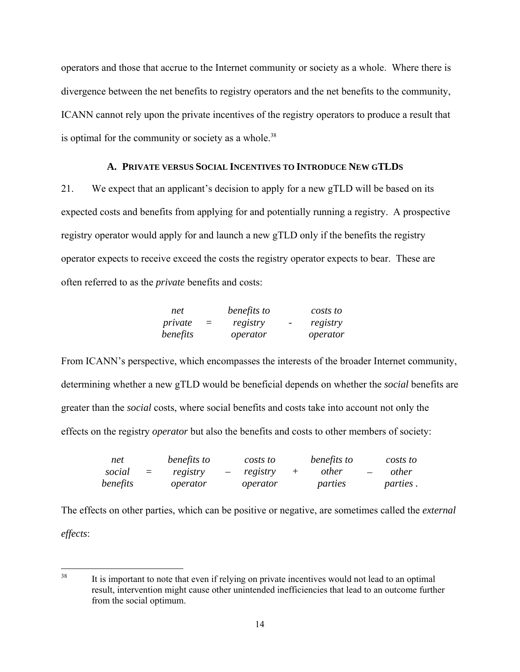operators and those that accrue to the Internet community or society as a whole. Where there is divergence between the net benefits to registry operators and the net benefits to the community, ICANN cannot rely upon the private incentives of the registry operators to produce a result that is optimal for the community or society as a whole. $38$ 

#### **A. PRIVATE VERSUS SOCIAL INCENTIVES TO INTRODUCE NEW GTLDS**

21. We expect that an applicant's decision to apply for a new gTLD will be based on its expected costs and benefits from applying for and potentially running a registry. A prospective registry operator would apply for and launch a new gTLD only if the benefits the registry operator expects to receive exceed the costs the registry operator expects to bear. These are often referred to as the *private* benefits and costs:

| net      |     | benefits to |                          | costs to |
|----------|-----|-------------|--------------------------|----------|
| private  | $=$ | registry    | $\overline{\phantom{a}}$ | registry |
| benefits |     | operator    |                          | operator |

From ICANN's perspective, which encompasses the interests of the broader Internet community, determining whether a new gTLD would be beneficial depends on whether the *social* benefits are greater than the *social* costs, where social benefits and costs take into account not only the effects on the registry *operator* but also the benefits and costs to other members of society:

| net      |          | benefits to | costs to | benefits to  |                          | costs to        |
|----------|----------|-------------|----------|--------------|--------------------------|-----------------|
| social   | $\equiv$ | registry    | registry | <i>other</i> | $\overline{\phantom{m}}$ | <i>other</i>    |
| benefits |          | operator    | operator | parties      |                          | <i>parties.</i> |

The effects on other parties, which can be positive or negative, are sometimes called the *external effects*:

<sup>38</sup> It is important to note that even if relying on private incentives would not lead to an optimal result, intervention might cause other unintended inefficiencies that lead to an outcome further from the social optimum.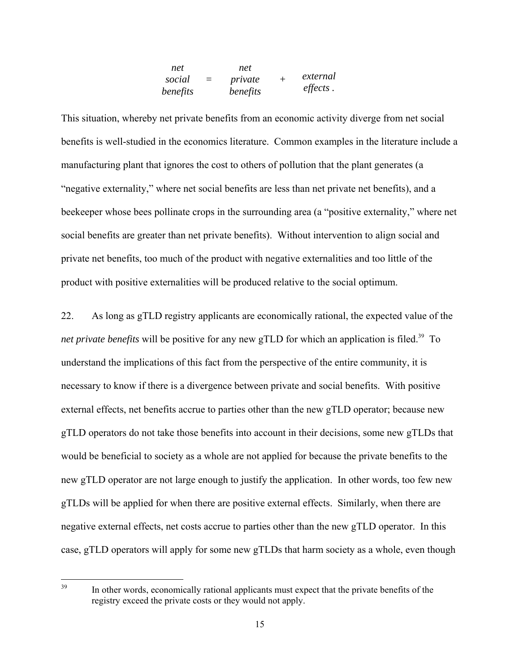| net      |     | net      |          |
|----------|-----|----------|----------|
| social   | $=$ | private  | external |
| benefits |     | benefits | effects. |

This situation, whereby net private benefits from an economic activity diverge from net social benefits is well-studied in the economics literature. Common examples in the literature include a manufacturing plant that ignores the cost to others of pollution that the plant generates (a "negative externality," where net social benefits are less than net private net benefits), and a beekeeper whose bees pollinate crops in the surrounding area (a "positive externality," where net social benefits are greater than net private benefits). Without intervention to align social and private net benefits, too much of the product with negative externalities and too little of the product with positive externalities will be produced relative to the social optimum.

22. As long as gTLD registry applicants are economically rational, the expected value of the *net private benefits* will be positive for any new gTLD for which an application is filed.<sup>39</sup> To understand the implications of this fact from the perspective of the entire community, it is necessary to know if there is a divergence between private and social benefits. With positive external effects, net benefits accrue to parties other than the new gTLD operator; because new gTLD operators do not take those benefits into account in their decisions, some new gTLDs that would be beneficial to society as a whole are not applied for because the private benefits to the new gTLD operator are not large enough to justify the application. In other words, too few new gTLDs will be applied for when there are positive external effects. Similarly, when there are negative external effects, net costs accrue to parties other than the new gTLD operator. In this case, gTLD operators will apply for some new gTLDs that harm society as a whole, even though

39

In other words, economically rational applicants must expect that the private benefits of the registry exceed the private costs or they would not apply.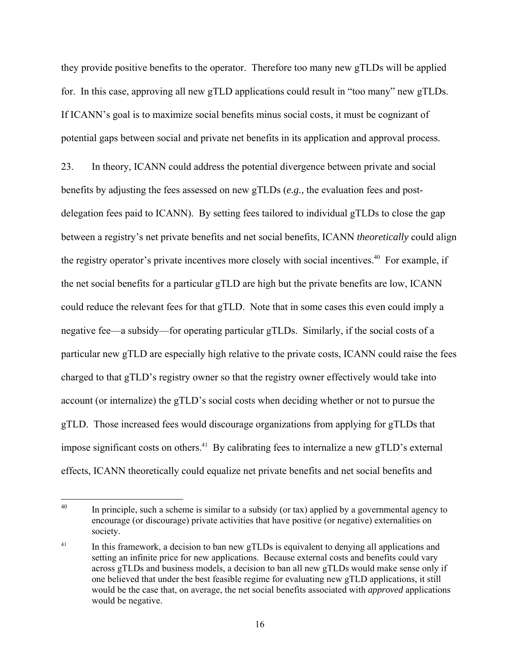they provide positive benefits to the operator. Therefore too many new gTLDs will be applied for. In this case, approving all new gTLD applications could result in "too many" new gTLDs. If ICANN's goal is to maximize social benefits minus social costs, it must be cognizant of potential gaps between social and private net benefits in its application and approval process.

23. In theory, ICANN could address the potential divergence between private and social benefits by adjusting the fees assessed on new gTLDs (*e.g.,* the evaluation fees and postdelegation fees paid to ICANN). By setting fees tailored to individual gTLDs to close the gap between a registry's net private benefits and net social benefits, ICANN *theoretically* could align the registry operator's private incentives more closely with social incentives.<sup>40</sup> For example, if the net social benefits for a particular gTLD are high but the private benefits are low, ICANN could reduce the relevant fees for that gTLD. Note that in some cases this even could imply a negative fee—a subsidy—for operating particular gTLDs. Similarly, if the social costs of a particular new gTLD are especially high relative to the private costs, ICANN could raise the fees charged to that gTLD's registry owner so that the registry owner effectively would take into account (or internalize) the gTLD's social costs when deciding whether or not to pursue the gTLD. Those increased fees would discourage organizations from applying for gTLDs that impose significant costs on others.<sup>41</sup> By calibrating fees to internalize a new gTLD's external effects, ICANN theoretically could equalize net private benefits and net social benefits and

<sup>40</sup> In principle, such a scheme is similar to a subsidy (or tax) applied by a governmental agency to encourage (or discourage) private activities that have positive (or negative) externalities on society.

 $41$  In this framework, a decision to ban new gTLDs is equivalent to denying all applications and setting an infinite price for new applications. Because external costs and benefits could vary across gTLDs and business models, a decision to ban all new gTLDs would make sense only if one believed that under the best feasible regime for evaluating new gTLD applications, it still would be the case that, on average, the net social benefits associated with *approved* applications would be negative.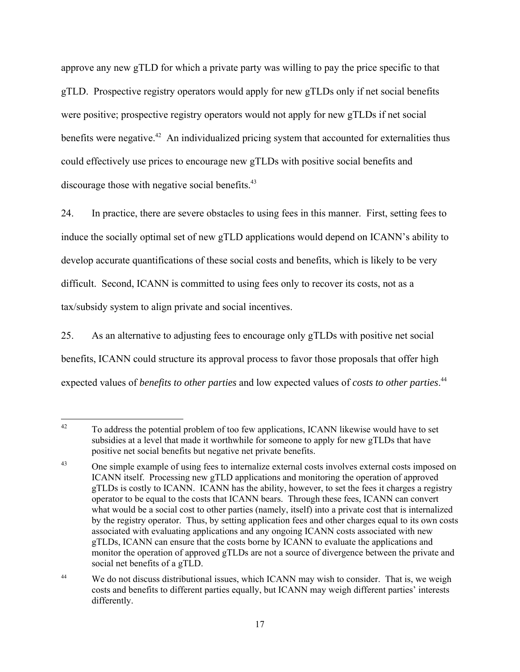approve any new gTLD for which a private party was willing to pay the price specific to that gTLD. Prospective registry operators would apply for new gTLDs only if net social benefits were positive; prospective registry operators would not apply for new gTLDs if net social benefits were negative.<sup>42</sup> An individualized pricing system that accounted for externalities thus could effectively use prices to encourage new gTLDs with positive social benefits and discourage those with negative social benefits.<sup>43</sup>

24. In practice, there are severe obstacles to using fees in this manner. First, setting fees to induce the socially optimal set of new gTLD applications would depend on ICANN's ability to develop accurate quantifications of these social costs and benefits, which is likely to be very difficult. Second, ICANN is committed to using fees only to recover its costs, not as a tax/subsidy system to align private and social incentives.

25. As an alternative to adjusting fees to encourage only gTLDs with positive net social benefits, ICANN could structure its approval process to favor those proposals that offer high expected values of *benefits to other parties* and low expected values of *costs to other parties*. 44

<sup>42</sup> 42 To address the potential problem of too few applications, ICANN likewise would have to set subsidies at a level that made it worthwhile for someone to apply for new gTLDs that have positive net social benefits but negative net private benefits.

<sup>&</sup>lt;sup>43</sup> One simple example of using fees to internalize external costs involves external costs imposed on ICANN itself. Processing new gTLD applications and monitoring the operation of approved gTLDs is costly to ICANN. ICANN has the ability, however, to set the fees it charges a registry operator to be equal to the costs that ICANN bears. Through these fees, ICANN can convert what would be a social cost to other parties (namely, itself) into a private cost that is internalized by the registry operator. Thus, by setting application fees and other charges equal to its own costs associated with evaluating applications and any ongoing ICANN costs associated with new gTLDs, ICANN can ensure that the costs borne by ICANN to evaluate the applications and monitor the operation of approved gTLDs are not a source of divergence between the private and social net benefits of a gTLD.

<sup>&</sup>lt;sup>44</sup> We do not discuss distributional issues, which ICANN may wish to consider. That is, we weigh costs and benefits to different parties equally, but ICANN may weigh different parties' interests differently.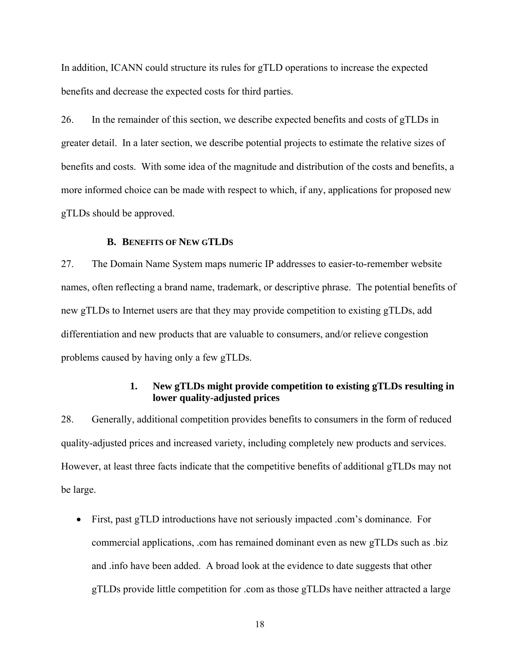In addition, ICANN could structure its rules for gTLD operations to increase the expected benefits and decrease the expected costs for third parties.

26. In the remainder of this section, we describe expected benefits and costs of gTLDs in greater detail. In a later section, we describe potential projects to estimate the relative sizes of benefits and costs. With some idea of the magnitude and distribution of the costs and benefits, a more informed choice can be made with respect to which, if any, applications for proposed new gTLDs should be approved.

#### **B. BENEFITS OF NEW GTLDS**

27. The Domain Name System maps numeric IP addresses to easier-to-remember website names, often reflecting a brand name, trademark, or descriptive phrase. The potential benefits of new gTLDs to Internet users are that they may provide competition to existing gTLDs, add differentiation and new products that are valuable to consumers, and/or relieve congestion problems caused by having only a few gTLDs.

#### **1. New gTLDs might provide competition to existing gTLDs resulting in lower quality-adjusted prices**

28. Generally, additional competition provides benefits to consumers in the form of reduced quality-adjusted prices and increased variety, including completely new products and services. However, at least three facts indicate that the competitive benefits of additional gTLDs may not be large.

• First, past gTLD introductions have not seriously impacted .com's dominance. For commercial applications, .com has remained dominant even as new gTLDs such as .biz and .info have been added. A broad look at the evidence to date suggests that other gTLDs provide little competition for .com as those gTLDs have neither attracted a large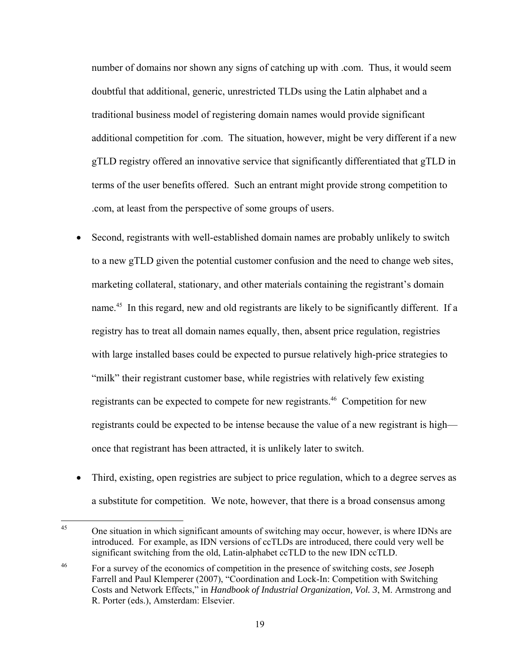number of domains nor shown any signs of catching up with .com. Thus, it would seem doubtful that additional, generic, unrestricted TLDs using the Latin alphabet and a traditional business model of registering domain names would provide significant additional competition for .com. The situation, however, might be very different if a new gTLD registry offered an innovative service that significantly differentiated that gTLD in terms of the user benefits offered. Such an entrant might provide strong competition to .com, at least from the perspective of some groups of users.

- Second, registrants with well-established domain names are probably unlikely to switch to a new gTLD given the potential customer confusion and the need to change web sites, marketing collateral, stationary, and other materials containing the registrant's domain name.<sup>45</sup> In this regard, new and old registrants are likely to be significantly different. If a registry has to treat all domain names equally, then, absent price regulation, registries with large installed bases could be expected to pursue relatively high-price strategies to "milk" their registrant customer base, while registries with relatively few existing registrants can be expected to compete for new registrants.<sup>46</sup> Competition for new registrants could be expected to be intense because the value of a new registrant is high once that registrant has been attracted, it is unlikely later to switch.
- Third, existing, open registries are subject to price regulation, which to a degree serves as a substitute for competition. We note, however, that there is a broad consensus among

 $45$ 45 One situation in which significant amounts of switching may occur, however, is where IDNs are introduced. For example, as IDN versions of ccTLDs are introduced, there could very well be significant switching from the old, Latin-alphabet ccTLD to the new IDN ccTLD.

<sup>46</sup> For a survey of the economics of competition in the presence of switching costs, *see* Joseph Farrell and Paul Klemperer (2007), "Coordination and Lock-In: Competition with Switching Costs and Network Effects," in *Handbook of Industrial Organization, Vol. 3*, M. Armstrong and R. Porter (eds.), Amsterdam: Elsevier.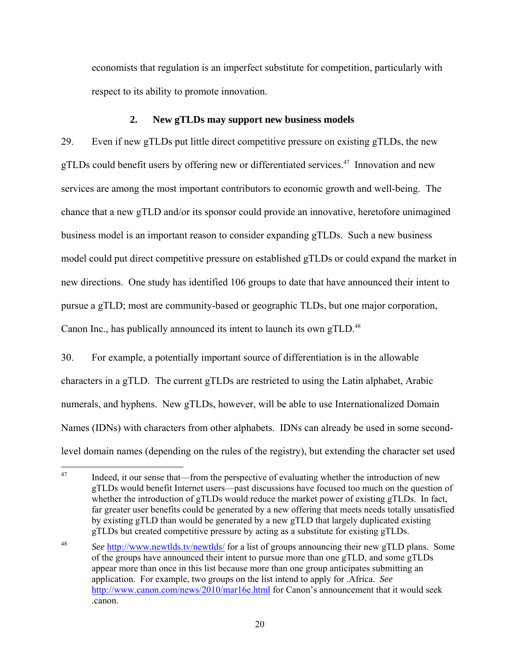economists that regulation is an imperfect substitute for competition, particularly with respect to its ability to promote innovation.

#### **2. New gTLDs may support new business models**

29. Even if new gTLDs put little direct competitive pressure on existing gTLDs, the new gTLDs could benefit users by offering new or differentiated services.<sup>47</sup> Innovation and new services are among the most important contributors to economic growth and well-being. The chance that a new gTLD and/or its sponsor could provide an innovative, heretofore unimagined business model is an important reason to consider expanding gTLDs. Such a new business model could put direct competitive pressure on established gTLDs or could expand the market in new directions. One study has identified 106 groups to date that have announced their intent to pursue a gTLD; most are community-based or geographic TLDs, but one major corporation, Canon Inc., has publically announced its intent to launch its own gTLD.<sup>48</sup>

30. For example, a potentially important source of differentiation is in the allowable characters in a gTLD. The current gTLDs are restricted to using the Latin alphabet, Arabic numerals, and hyphens. New gTLDs, however, will be able to use Internationalized Domain Names (IDNs) with characters from other alphabets. IDNs can already be used in some secondlevel domain names (depending on the rules of the registry), but extending the character set used

 $47$ Indeed, it our sense that—from the perspective of evaluating whether the introduction of new gTLDs would benefit Internet users—past discussions have focused too much on the question of whether the introduction of gTLDs would reduce the market power of existing gTLDs. In fact, far greater user benefits could be generated by a new offering that meets needs totally unsatisfied by existing gTLD than would be generated by a new gTLD that largely duplicated existing gTLDs but created competitive pressure by acting as a substitute for existing gTLDs.

<sup>48</sup> *See* http://www.newtlds.tv/newtlds/ for a list of groups announcing their new gTLD plans. Some of the groups have announced their intent to pursue more than one gTLD, and some gTLDs appear more than once in this list because more than one group anticipates submitting an application. For example, two groups on the list intend to apply for .Africa. *See* http://www.canon.com/news/2010/mar16e.html for Canon's announcement that it would seek .canon.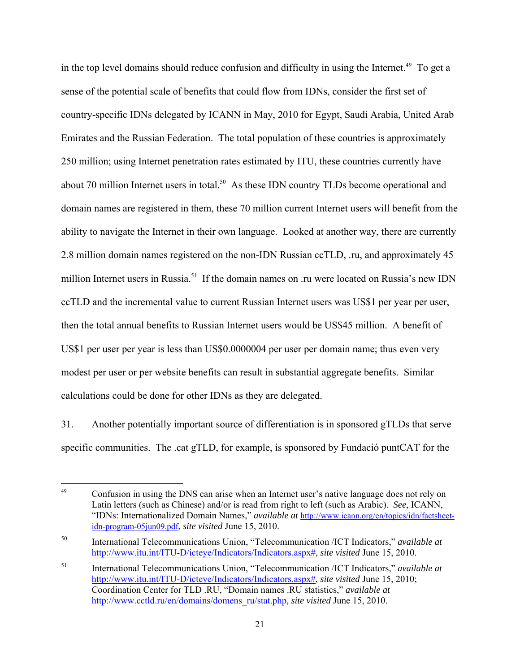in the top level domains should reduce confusion and difficulty in using the Internet.<sup>49</sup> To get a sense of the potential scale of benefits that could flow from IDNs, consider the first set of country-specific IDNs delegated by ICANN in May, 2010 for Egypt, Saudi Arabia, United Arab Emirates and the Russian Federation. The total population of these countries is approximately 250 million; using Internet penetration rates estimated by ITU, these countries currently have about 70 million Internet users in total.<sup>50</sup> As these IDN country TLDs become operational and domain names are registered in them, these 70 million current Internet users will benefit from the ability to navigate the Internet in their own language. Looked at another way, there are currently 2.8 million domain names registered on the non-IDN Russian ccTLD, .ru, and approximately 45 million Internet users in Russia.<sup>51</sup> If the domain names on .ru were located on Russia's new IDN ccTLD and the incremental value to current Russian Internet users was US\$1 per year per user, then the total annual benefits to Russian Internet users would be US\$45 million. A benefit of US\$1 per user per year is less than US\$0.0000004 per user per domain name; thus even very modest per user or per website benefits can result in substantial aggregate benefits. Similar calculations could be done for other IDNs as they are delegated.

31. Another potentially important source of differentiation is in sponsored gTLDs that serve specific communities. The .cat gTLD, for example, is sponsored by Fundació puntCAT for the

<sup>49</sup> Confusion in using the DNS can arise when an Internet user's native language does not rely on Latin letters (such as Chinese) and/or is read from right to left (such as Arabic). *See*, ICANN, "IDNs: Internationalized Domain Names," *available at* http://www.icann.org/en/topics/idn/factsheetidn-program-05jun09.pdf, *site visited* June 15, 2010.

<sup>50</sup> International Telecommunications Union, "Telecommunication /ICT Indicators," *available at* http://www.itu.int/ITU-D/icteye/Indicators/Indicators.aspx#, *site visited* June 15, 2010.

<sup>51</sup> International Telecommunications Union, "Telecommunication /ICT Indicators," *available at* http://www.itu.int/ITU-D/icteye/Indicators/Indicators.aspx#, *site visited* June 15, 2010; Coordination Center for TLD .RU, "Domain names .RU statistics," *available at* http://www.cctld.ru/en/domains/domens\_ru/stat.php, *site visited* June 15, 2010.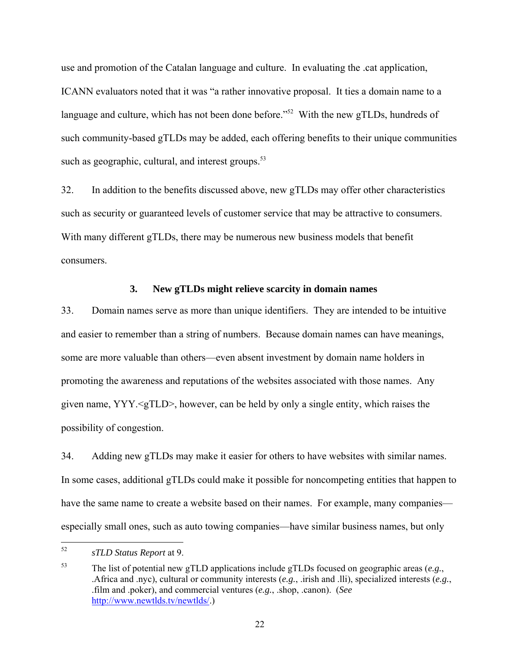use and promotion of the Catalan language and culture. In evaluating the .cat application, ICANN evaluators noted that it was "a rather innovative proposal. It ties a domain name to a language and culture, which has not been done before.<sup>552</sup> With the new gTLDs, hundreds of such community-based gTLDs may be added, each offering benefits to their unique communities such as geographic, cultural, and interest groups.<sup>53</sup>

32. In addition to the benefits discussed above, new gTLDs may offer other characteristics such as security or guaranteed levels of customer service that may be attractive to consumers. With many different gTLDs, there may be numerous new business models that benefit consumers.

#### **3. New gTLDs might relieve scarcity in domain names**

33. Domain names serve as more than unique identifiers. They are intended to be intuitive and easier to remember than a string of numbers. Because domain names can have meanings, some are more valuable than others—even absent investment by domain name holders in promoting the awareness and reputations of the websites associated with those names. Any given name,  $YYY \leq gTLD$ , however, can be held by only a single entity, which raises the possibility of congestion.

34. Adding new gTLDs may make it easier for others to have websites with similar names. In some cases, additional gTLDs could make it possible for noncompeting entities that happen to have the same name to create a website based on their names. For example, many companies especially small ones, such as auto towing companies—have similar business names, but only

<sup>52</sup> 52 *sTLD Status Report* at 9.

<sup>53</sup> The list of potential new gTLD applications include gTLDs focused on geographic areas (*e.g.*, .Africa and .nyc), cultural or community interests (*e.g.*, .irish and .lli), specialized interests (*e.g.*, .film and .poker), and commercial ventures (*e.g.*, .shop, .canon). (*See* http://www.newtlds.tv/newtlds/.)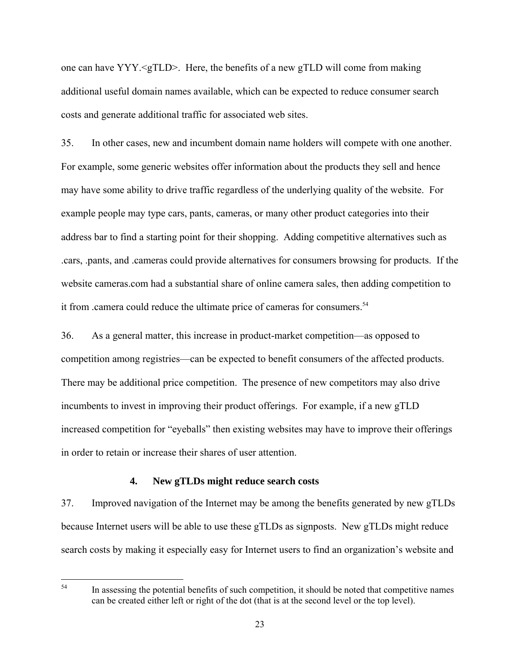one can have YYY.<gTLD>. Here, the benefits of a new gTLD will come from making additional useful domain names available, which can be expected to reduce consumer search costs and generate additional traffic for associated web sites.

35. In other cases, new and incumbent domain name holders will compete with one another. For example, some generic websites offer information about the products they sell and hence may have some ability to drive traffic regardless of the underlying quality of the website. For example people may type cars, pants, cameras, or many other product categories into their address bar to find a starting point for their shopping. Adding competitive alternatives such as .cars, .pants, and .cameras could provide alternatives for consumers browsing for products. If the website cameras.com had a substantial share of online camera sales, then adding competition to it from .camera could reduce the ultimate price of cameras for consumers.<sup>54</sup>

36. As a general matter, this increase in product-market competition—as opposed to competition among registries—can be expected to benefit consumers of the affected products. There may be additional price competition. The presence of new competitors may also drive incumbents to invest in improving their product offerings. For example, if a new gTLD increased competition for "eyeballs" then existing websites may have to improve their offerings in order to retain or increase their shares of user attention.

#### **4. New gTLDs might reduce search costs**

37. Improved navigation of the Internet may be among the benefits generated by new gTLDs because Internet users will be able to use these gTLDs as signposts. New gTLDs might reduce search costs by making it especially easy for Internet users to find an organization's website and

54

In assessing the potential benefits of such competition, it should be noted that competitive names can be created either left or right of the dot (that is at the second level or the top level).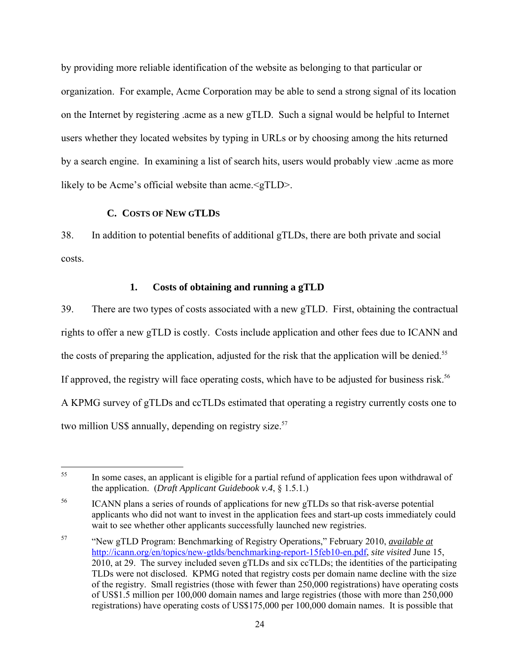by providing more reliable identification of the website as belonging to that particular or organization. For example, Acme Corporation may be able to send a strong signal of its location on the Internet by registering .acme as a new gTLD. Such a signal would be helpful to Internet users whether they located websites by typing in URLs or by choosing among the hits returned by a search engine. In examining a list of search hits, users would probably view .acme as more likely to be Acme's official website than acme.<gTLD>.

# **C. COSTS OF NEW GTLDS**

38. In addition to potential benefits of additional gTLDs, there are both private and social costs.

#### **1. Costs of obtaining and running a gTLD**

39. There are two types of costs associated with a new gTLD. First, obtaining the contractual rights to offer a new gTLD is costly. Costs include application and other fees due to ICANN and the costs of preparing the application, adjusted for the risk that the application will be denied.<sup>55</sup> If approved, the registry will face operating costs, which have to be adjusted for business risk.<sup>56</sup> A KPMG survey of gTLDs and ccTLDs estimated that operating a registry currently costs one to two million US\$ annually, depending on registry size.<sup>57</sup>

<sup>55</sup> In some cases, an applicant is eligible for a partial refund of application fees upon withdrawal of the application. (*Draft Applicant Guidebook v.4*, § 1.5.1.)

<sup>&</sup>lt;sup>56</sup> ICANN plans a series of rounds of applications for new gTLDs so that risk-averse potential applicants who did not want to invest in the application fees and start-up costs immediately could wait to see whether other applicants successfully launched new registries.

<sup>57 &</sup>quot;New gTLD Program: Benchmarking of Registry Operations," February 2010, *available at* http://icann.org/en/topics/new-gtlds/benchmarking-report-15feb10-en.pdf, *site visited* June 15, 2010, at 29. The survey included seven gTLDs and six ccTLDs; the identities of the participating TLDs were not disclosed. KPMG noted that registry costs per domain name decline with the size of the registry. Small registries (those with fewer than 250,000 registrations) have operating costs of US\$1.5 million per 100,000 domain names and large registries (those with more than 250,000 registrations) have operating costs of US\$175,000 per 100,000 domain names. It is possible that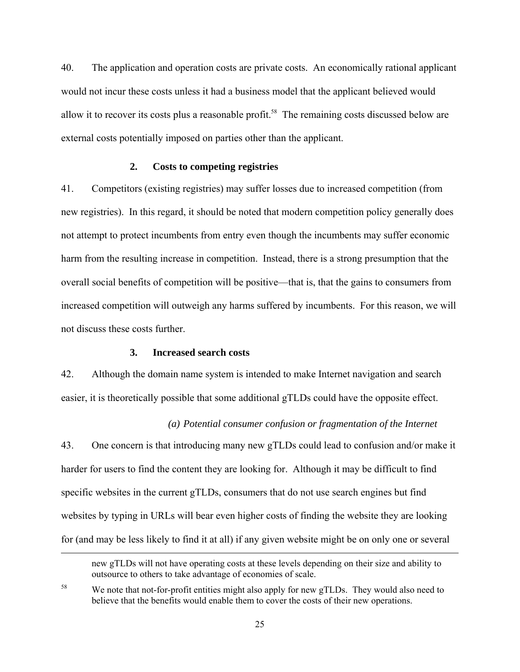40. The application and operation costs are private costs. An economically rational applicant would not incur these costs unless it had a business model that the applicant believed would allow it to recover its costs plus a reasonable profit.<sup>58</sup> The remaining costs discussed below are external costs potentially imposed on parties other than the applicant.

#### **2. Costs to competing registries**

41. Competitors (existing registries) may suffer losses due to increased competition (from new registries). In this regard, it should be noted that modern competition policy generally does not attempt to protect incumbents from entry even though the incumbents may suffer economic harm from the resulting increase in competition. Instead, there is a strong presumption that the overall social benefits of competition will be positive—that is, that the gains to consumers from increased competition will outweigh any harms suffered by incumbents. For this reason, we will not discuss these costs further.

# **3. Increased search costs**

<u>.</u>

42. Although the domain name system is intended to make Internet navigation and search easier, it is theoretically possible that some additional gTLDs could have the opposite effect.

#### *(a) Potential consumer confusion or fragmentation of the Internet*

43. One concern is that introducing many new gTLDs could lead to confusion and/or make it harder for users to find the content they are looking for. Although it may be difficult to find specific websites in the current gTLDs, consumers that do not use search engines but find websites by typing in URLs will bear even higher costs of finding the website they are looking for (and may be less likely to find it at all) if any given website might be on only one or several

new gTLDs will not have operating costs at these levels depending on their size and ability to outsource to others to take advantage of economies of scale.

<sup>&</sup>lt;sup>58</sup> We note that not-for-profit entities might also apply for new gTLDs. They would also need to believe that the benefits would enable them to cover the costs of their new operations.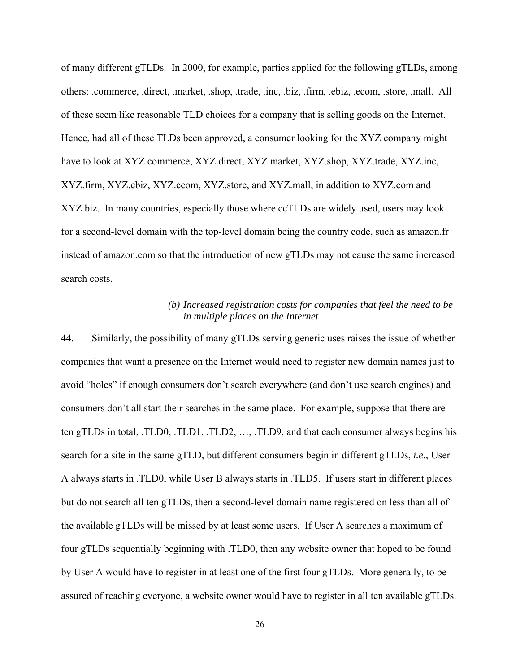of many different gTLDs. In 2000, for example, parties applied for the following gTLDs, among others: .commerce, .direct, .market, .shop, .trade, .inc, .biz, .firm, .ebiz, .ecom, .store, .mall. All of these seem like reasonable TLD choices for a company that is selling goods on the Internet. Hence, had all of these TLDs been approved, a consumer looking for the XYZ company might have to look at XYZ.commerce, XYZ.direct, XYZ.market, XYZ.shop, XYZ.trade, XYZ.inc, XYZ.firm, XYZ.ebiz, XYZ.ecom, XYZ.store, and XYZ.mall, in addition to XYZ.com and XYZ.biz. In many countries, especially those where ccTLDs are widely used, users may look for a second-level domain with the top-level domain being the country code, such as amazon.fr instead of amazon.com so that the introduction of new gTLDs may not cause the same increased search costs.

# *(b) Increased registration costs for companies that feel the need to be in multiple places on the Internet*

44. Similarly, the possibility of many gTLDs serving generic uses raises the issue of whether companies that want a presence on the Internet would need to register new domain names just to avoid "holes" if enough consumers don't search everywhere (and don't use search engines) and consumers don't all start their searches in the same place. For example, suppose that there are ten gTLDs in total, .TLD0, .TLD1, .TLD2, …, .TLD9, and that each consumer always begins his search for a site in the same gTLD, but different consumers begin in different gTLDs, *i.e.*, User A always starts in .TLD0, while User B always starts in .TLD5. If users start in different places but do not search all ten gTLDs, then a second-level domain name registered on less than all of the available gTLDs will be missed by at least some users. If User A searches a maximum of four gTLDs sequentially beginning with .TLD0, then any website owner that hoped to be found by User A would have to register in at least one of the first four gTLDs. More generally, to be assured of reaching everyone, a website owner would have to register in all ten available gTLDs.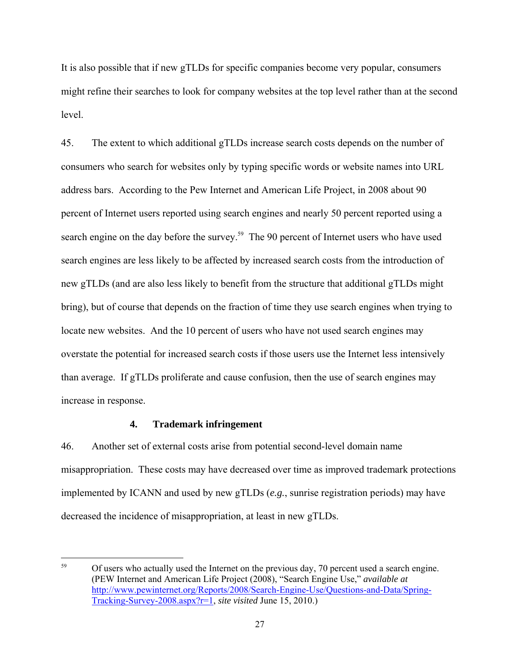It is also possible that if new gTLDs for specific companies become very popular, consumers might refine their searches to look for company websites at the top level rather than at the second level.

45. The extent to which additional gTLDs increase search costs depends on the number of consumers who search for websites only by typing specific words or website names into URL address bars. According to the Pew Internet and American Life Project, in 2008 about 90 percent of Internet users reported using search engines and nearly 50 percent reported using a search engine on the day before the survey.<sup>59</sup> The 90 percent of Internet users who have used search engines are less likely to be affected by increased search costs from the introduction of new gTLDs (and are also less likely to benefit from the structure that additional gTLDs might bring), but of course that depends on the fraction of time they use search engines when trying to locate new websites. And the 10 percent of users who have not used search engines may overstate the potential for increased search costs if those users use the Internet less intensively than average. If gTLDs proliferate and cause confusion, then the use of search engines may increase in response.

## **4. Trademark infringement**

46. Another set of external costs arise from potential second-level domain name misappropriation. These costs may have decreased over time as improved trademark protections implemented by ICANN and used by new gTLDs (*e.g.*, sunrise registration periods) may have decreased the incidence of misappropriation, at least in new gTLDs.

 $59$ 59 Of users who actually used the Internet on the previous day, 70 percent used a search engine. (PEW Internet and American Life Project (2008), "Search Engine Use," *available at* http://www.pewinternet.org/Reports/2008/Search-Engine-Use/Questions-and-Data/Spring-Tracking-Survey-2008.aspx?r=1, *site visited* June 15, 2010.)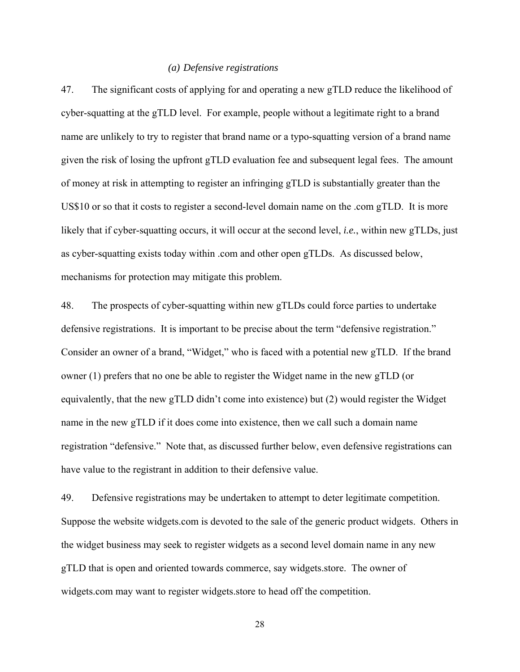#### *(a) Defensive registrations*

47. The significant costs of applying for and operating a new gTLD reduce the likelihood of cyber-squatting at the gTLD level. For example, people without a legitimate right to a brand name are unlikely to try to register that brand name or a typo-squatting version of a brand name given the risk of losing the upfront gTLD evaluation fee and subsequent legal fees. The amount of money at risk in attempting to register an infringing gTLD is substantially greater than the US\$10 or so that it costs to register a second-level domain name on the .com gTLD. It is more likely that if cyber-squatting occurs, it will occur at the second level, *i.e.*, within new gTLDs, just as cyber-squatting exists today within .com and other open gTLDs. As discussed below, mechanisms for protection may mitigate this problem.

48. The prospects of cyber-squatting within new gTLDs could force parties to undertake defensive registrations. It is important to be precise about the term "defensive registration." Consider an owner of a brand, "Widget," who is faced with a potential new gTLD. If the brand owner (1) prefers that no one be able to register the Widget name in the new gTLD (or equivalently, that the new gTLD didn't come into existence) but (2) would register the Widget name in the new gTLD if it does come into existence, then we call such a domain name registration "defensive." Note that, as discussed further below, even defensive registrations can have value to the registrant in addition to their defensive value.

49. Defensive registrations may be undertaken to attempt to deter legitimate competition. Suppose the website widgets.com is devoted to the sale of the generic product widgets. Others in the widget business may seek to register widgets as a second level domain name in any new gTLD that is open and oriented towards commerce, say widgets.store. The owner of widgets.com may want to register widgets.store to head off the competition.

28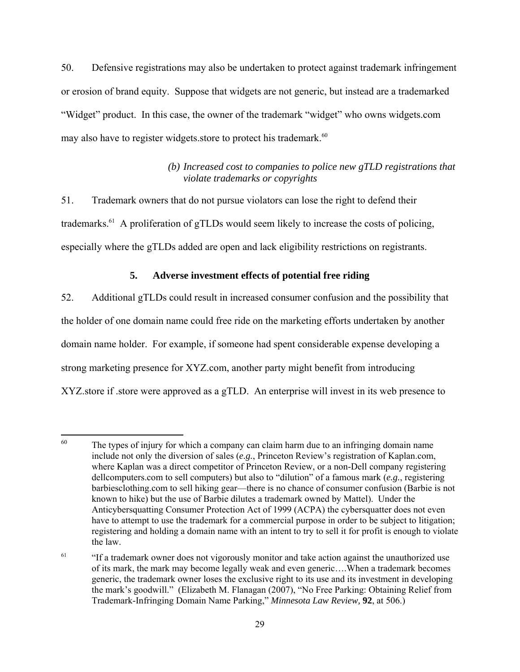50. Defensive registrations may also be undertaken to protect against trademark infringement or erosion of brand equity. Suppose that widgets are not generic, but instead are a trademarked "Widget" product. In this case, the owner of the trademark "widget" who owns widgets.com may also have to register widgets store to protect his trademark.<sup>60</sup>

# *(b) Increased cost to companies to police new gTLD registrations that violate trademarks or copyrights*

51. Trademark owners that do not pursue violators can lose the right to defend their trademarks.<sup>61</sup> A proliferation of gTLDs would seem likely to increase the costs of policing, especially where the gTLDs added are open and lack eligibility restrictions on registrants.

# **5. Adverse investment effects of potential free riding**

52. Additional gTLDs could result in increased consumer confusion and the possibility that the holder of one domain name could free ride on the marketing efforts undertaken by another domain name holder. For example, if someone had spent considerable expense developing a strong marketing presence for XYZ.com, another party might benefit from introducing XYZ.store if .store were approved as a gTLD. An enterprise will invest in its web presence to

<sup>60</sup> The types of injury for which a company can claim harm due to an infringing domain name include not only the diversion of sales (*e.g.*, Princeton Review's registration of Kaplan.com, where Kaplan was a direct competitor of Princeton Review, or a non-Dell company registering dellcomputers.com to sell computers) but also to "dilution" of a famous mark (*e.g.*, registering barbiesclothing.com to sell hiking gear—there is no chance of consumer confusion (Barbie is not known to hike) but the use of Barbie dilutes a trademark owned by Mattel). Under the Anticybersquatting Consumer Protection Act of 1999 (ACPA) the cybersquatter does not even have to attempt to use the trademark for a commercial purpose in order to be subject to litigation; registering and holding a domain name with an intent to try to sell it for profit is enough to violate the law.

<sup>&</sup>lt;sup>61</sup> "If a trademark owner does not vigorously monitor and take action against the unauthorized use of its mark, the mark may become legally weak and even generic….When a trademark becomes generic, the trademark owner loses the exclusive right to its use and its investment in developing the mark's goodwill." (Elizabeth M. Flanagan (2007), "No Free Parking: Obtaining Relief from Trademark-Infringing Domain Name Parking," *Minnesota Law Review,* **92**, at 506.)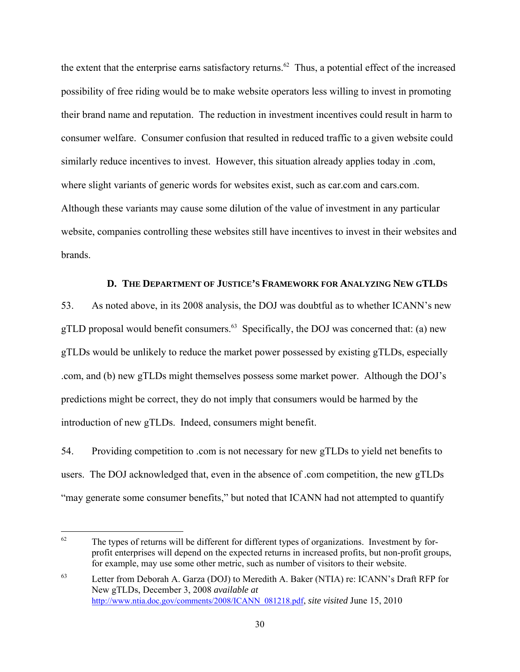the extent that the enterprise earns satisfactory returns.<sup>62</sup> Thus, a potential effect of the increased possibility of free riding would be to make website operators less willing to invest in promoting their brand name and reputation. The reduction in investment incentives could result in harm to consumer welfare. Consumer confusion that resulted in reduced traffic to a given website could similarly reduce incentives to invest. However, this situation already applies today in .com, where slight variants of generic words for websites exist, such as car.com and cars.com. Although these variants may cause some dilution of the value of investment in any particular website, companies controlling these websites still have incentives to invest in their websites and brands.

#### **D. THE DEPARTMENT OF JUSTICE'S FRAMEWORK FOR ANALYZING NEW GTLDS**

53. As noted above, in its 2008 analysis, the DOJ was doubtful as to whether ICANN's new gTLD proposal would benefit consumers.<sup>63</sup> Specifically, the DOJ was concerned that: (a) new gTLDs would be unlikely to reduce the market power possessed by existing gTLDs, especially .com, and (b) new gTLDs might themselves possess some market power. Although the DOJ's predictions might be correct, they do not imply that consumers would be harmed by the introduction of new gTLDs. Indeed, consumers might benefit.

54. Providing competition to .com is not necessary for new gTLDs to yield net benefits to users. The DOJ acknowledged that, even in the absence of .com competition, the new gTLDs "may generate some consumer benefits," but noted that ICANN had not attempted to quantify

1

 $62$  The types of returns will be different for different types of organizations. Investment by forprofit enterprises will depend on the expected returns in increased profits, but non-profit groups, for example, may use some other metric, such as number of visitors to their website.

<sup>63</sup> Letter from Deborah A. Garza (DOJ) to Meredith A. Baker (NTIA) re: ICANN's Draft RFP for New gTLDs, December 3, 2008 *available at* http://www.ntia.doc.gov/comments/2008/ICANN\_081218.pdf, *site visited* June 15, 2010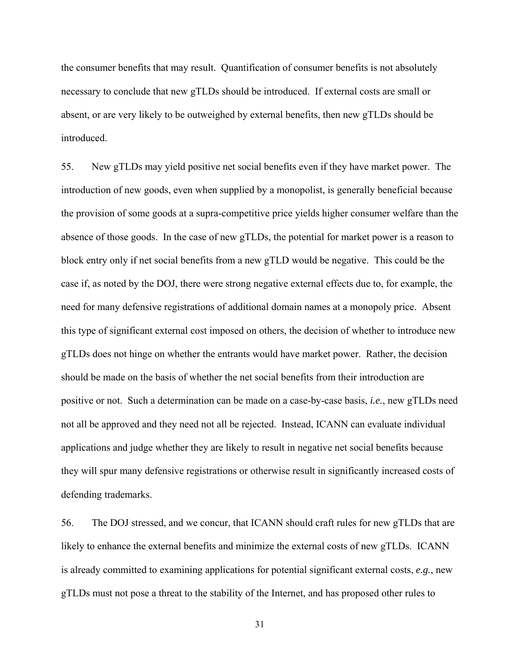the consumer benefits that may result. Quantification of consumer benefits is not absolutely necessary to conclude that new gTLDs should be introduced. If external costs are small or absent, or are very likely to be outweighed by external benefits, then new gTLDs should be introduced.

55. New gTLDs may yield positive net social benefits even if they have market power. The introduction of new goods, even when supplied by a monopolist, is generally beneficial because the provision of some goods at a supra-competitive price yields higher consumer welfare than the absence of those goods. In the case of new gTLDs, the potential for market power is a reason to block entry only if net social benefits from a new gTLD would be negative. This could be the case if, as noted by the DOJ, there were strong negative external effects due to, for example, the need for many defensive registrations of additional domain names at a monopoly price. Absent this type of significant external cost imposed on others, the decision of whether to introduce new gTLDs does not hinge on whether the entrants would have market power. Rather, the decision should be made on the basis of whether the net social benefits from their introduction are positive or not. Such a determination can be made on a case-by-case basis, *i.e.*, new gTLDs need not all be approved and they need not all be rejected. Instead, ICANN can evaluate individual applications and judge whether they are likely to result in negative net social benefits because they will spur many defensive registrations or otherwise result in significantly increased costs of defending trademarks.

56. The DOJ stressed, and we concur, that ICANN should craft rules for new gTLDs that are likely to enhance the external benefits and minimize the external costs of new gTLDs. ICANN is already committed to examining applications for potential significant external costs, *e.g.*, new gTLDs must not pose a threat to the stability of the Internet, and has proposed other rules to

31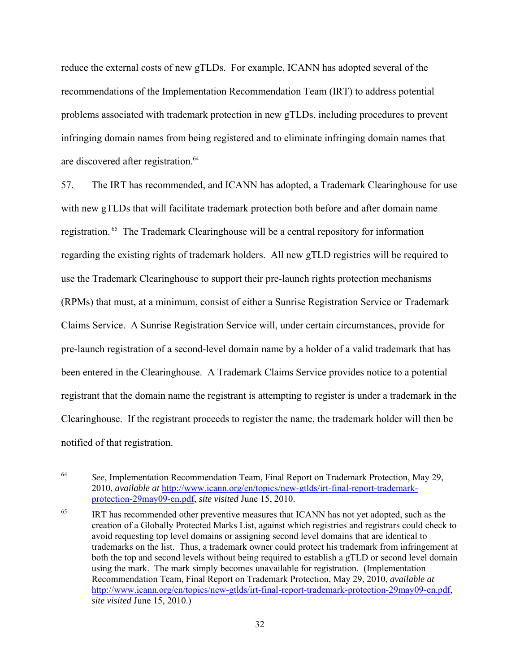reduce the external costs of new gTLDs. For example, ICANN has adopted several of the recommendations of the Implementation Recommendation Team (IRT) to address potential problems associated with trademark protection in new gTLDs, including procedures to prevent infringing domain names from being registered and to eliminate infringing domain names that are discovered after registration.<sup>64</sup>

57. The IRT has recommended, and ICANN has adopted, a Trademark Clearinghouse for use with new gTLDs that will facilitate trademark protection both before and after domain name registration. 65 The Trademark Clearinghouse will be a central repository for information regarding the existing rights of trademark holders. All new gTLD registries will be required to use the Trademark Clearinghouse to support their pre-launch rights protection mechanisms (RPMs) that must, at a minimum, consist of either a Sunrise Registration Service or Trademark Claims Service. A Sunrise Registration Service will, under certain circumstances, provide for pre-launch registration of a second-level domain name by a holder of a valid trademark that has been entered in the Clearinghouse. A Trademark Claims Service provides notice to a potential registrant that the domain name the registrant is attempting to register is under a trademark in the Clearinghouse. If the registrant proceeds to register the name, the trademark holder will then be notified of that registration.

<sup>64</sup> 64 *See*, Implementation Recommendation Team, Final Report on Trademark Protection, May 29, 2010, *available at* http://www.icann.org/en/topics/new-gtlds/irt-final-report-trademarkprotection-29may09-en.pdf, *site visited* June 15, 2010.

<sup>&</sup>lt;sup>65</sup> IRT has recommended other preventive measures that ICANN has not yet adopted, such as the creation of a Globally Protected Marks List, against which registries and registrars could check to avoid requesting top level domains or assigning second level domains that are identical to trademarks on the list. Thus, a trademark owner could protect his trademark from infringement at both the top and second levels without being required to establish a gTLD or second level domain using the mark. The mark simply becomes unavailable for registration. (Implementation Recommendation Team, Final Report on Trademark Protection, May 29, 2010, *available at* http://www.icann.org/en/topics/new-gtlds/irt-final-report-trademark-protection-29may09-en.pdf, *site visited* June 15, 2010.)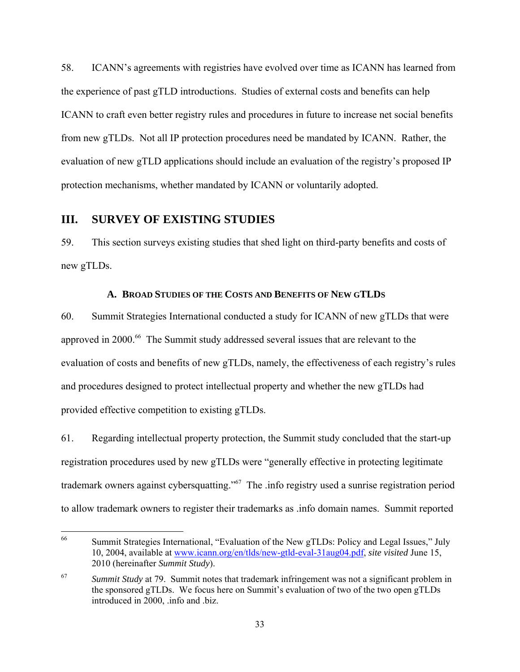58. ICANN's agreements with registries have evolved over time as ICANN has learned from the experience of past gTLD introductions. Studies of external costs and benefits can help ICANN to craft even better registry rules and procedures in future to increase net social benefits from new gTLDs. Not all IP protection procedures need be mandated by ICANN. Rather, the evaluation of new gTLD applications should include an evaluation of the registry's proposed IP protection mechanisms, whether mandated by ICANN or voluntarily adopted.

# **III. SURVEY OF EXISTING STUDIES**

59. This section surveys existing studies that shed light on third-party benefits and costs of new gTLDs.

### **A. BROAD STUDIES OF THE COSTS AND BENEFITS OF NEW GTLDS**

60. Summit Strategies International conducted a study for ICANN of new gTLDs that were approved in 2000.<sup>66</sup> The Summit study addressed several issues that are relevant to the evaluation of costs and benefits of new gTLDs, namely, the effectiveness of each registry's rules and procedures designed to protect intellectual property and whether the new gTLDs had provided effective competition to existing gTLDs.

61. Regarding intellectual property protection, the Summit study concluded that the start-up registration procedures used by new gTLDs were "generally effective in protecting legitimate trademark owners against cybersquatting."67 The .info registry used a sunrise registration period to allow trademark owners to register their trademarks as .info domain names. Summit reported

<sup>66</sup> Summit Strategies International, "Evaluation of the New gTLDs: Policy and Legal Issues," July 10, 2004, available at www.icann.org/en/tlds/new-gtld-eval-31aug04.pdf, *site visited* June 15, 2010 (hereinafter *Summit Study*).

<sup>67</sup> *Summit Study* at 79. Summit notes that trademark infringement was not a significant problem in the sponsored gTLDs. We focus here on Summit's evaluation of two of the two open gTLDs introduced in 2000, .info and .biz.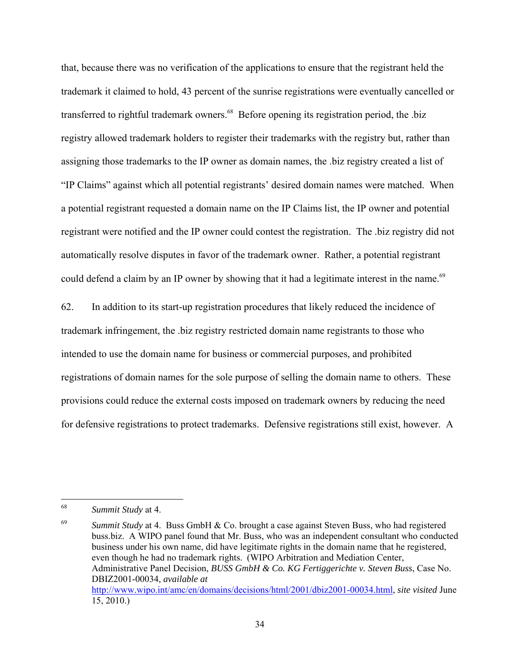that, because there was no verification of the applications to ensure that the registrant held the trademark it claimed to hold, 43 percent of the sunrise registrations were eventually cancelled or transferred to rightful trademark owners.<sup>68</sup> Before opening its registration period, the .biz registry allowed trademark holders to register their trademarks with the registry but, rather than assigning those trademarks to the IP owner as domain names, the .biz registry created a list of "IP Claims" against which all potential registrants' desired domain names were matched. When a potential registrant requested a domain name on the IP Claims list, the IP owner and potential registrant were notified and the IP owner could contest the registration. The .biz registry did not automatically resolve disputes in favor of the trademark owner. Rather, a potential registrant could defend a claim by an IP owner by showing that it had a legitimate interest in the name.<sup>69</sup>

62. In addition to its start-up registration procedures that likely reduced the incidence of trademark infringement, the .biz registry restricted domain name registrants to those who intended to use the domain name for business or commercial purposes, and prohibited registrations of domain names for the sole purpose of selling the domain name to others. These provisions could reduce the external costs imposed on trademark owners by reducing the need for defensive registrations to protect trademarks. Defensive registrations still exist, however. A

<sup>68</sup> **Summit Study** at 4.

<sup>&</sup>lt;sup>69</sup> Summit Study at 4. Buss GmbH & Co. brought a case against Steven Buss, who had registered buss.biz. A WIPO panel found that Mr. Buss, who was an independent consultant who conducted business under his own name, did have legitimate rights in the domain name that he registered, even though he had no trademark rights. (WIPO Arbitration and Mediation Center, Administrative Panel Decision, *BUSS GmbH & Co. KG Fertiggerichte v. Steven Buss*, Case No. DBIZ2001-00034, *available at* http://www.wipo.int/amc/en/domains/decisions/html/2001/dbiz2001-00034.html, *site visited* June 15, 2010.)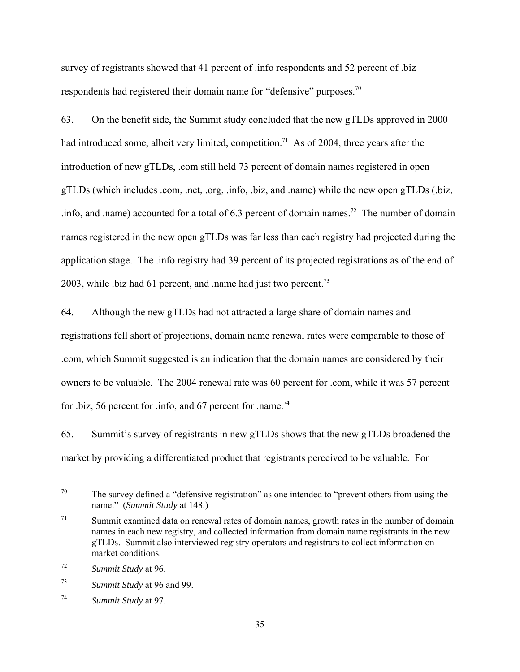survey of registrants showed that 41 percent of .info respondents and 52 percent of .biz respondents had registered their domain name for "defensive" purposes.<sup>70</sup>

63. On the benefit side, the Summit study concluded that the new gTLDs approved in 2000 had introduced some, albeit very limited, competition.<sup>71</sup> As of 2004, three years after the introduction of new gTLDs, .com still held 73 percent of domain names registered in open gTLDs (which includes .com, .net, .org, .info, .biz, and .name) while the new open gTLDs (.biz, .info, and .name) accounted for a total of  $6.3$  percent of domain names.<sup>72</sup> The number of domain names registered in the new open gTLDs was far less than each registry had projected during the application stage. The .info registry had 39 percent of its projected registrations as of the end of 2003, while .biz had 61 percent, and .name had just two percent.<sup>73</sup>

64. Although the new gTLDs had not attracted a large share of domain names and registrations fell short of projections, domain name renewal rates were comparable to those of .com, which Summit suggested is an indication that the domain names are considered by their owners to be valuable. The 2004 renewal rate was 60 percent for .com, while it was 57 percent for .biz, 56 percent for .info, and 67 percent for .name.<sup>74</sup>

65. Summit's survey of registrants in new gTLDs shows that the new gTLDs broadened the market by providing a differentiated product that registrants perceived to be valuable. For

 $70\,$ The survey defined a "defensive registration" as one intended to "prevent others from using the name."(*Summit Study* at 148.)

 $71$  Summit examined data on renewal rates of domain names, growth rates in the number of domain names in each new registry, and collected information from domain name registrants in the new gTLDs. Summit also interviewed registry operators and registrars to collect information on market conditions.

<sup>72</sup> *Summit Study* at 96.

<sup>73</sup> *Summit Study* at 96 and 99.

<sup>74</sup> *Summit Study* at 97.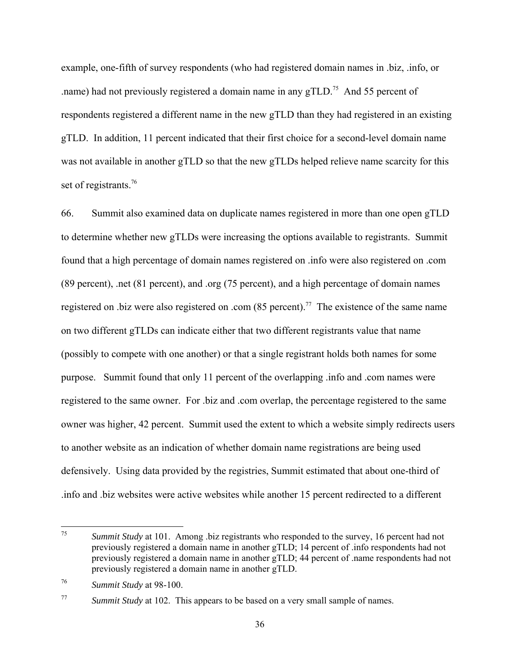example, one-fifth of survey respondents (who had registered domain names in .biz, .info, or .name) had not previously registered a domain name in any  $gTLD$ <sup>75</sup> And 55 percent of respondents registered a different name in the new gTLD than they had registered in an existing gTLD. In addition, 11 percent indicated that their first choice for a second-level domain name was not available in another gTLD so that the new gTLDs helped relieve name scarcity for this set of registrants.<sup>76</sup>

66. Summit also examined data on duplicate names registered in more than one open gTLD to determine whether new gTLDs were increasing the options available to registrants. Summit found that a high percentage of domain names registered on .info were also registered on .com (89 percent), .net (81 percent), and .org (75 percent), and a high percentage of domain names registered on .biz were also registered on .com  $(85 \text{ percent})$ .<sup>77</sup> The existence of the same name on two different gTLDs can indicate either that two different registrants value that name (possibly to compete with one another) or that a single registrant holds both names for some purpose. Summit found that only 11 percent of the overlapping .info and .com names were registered to the same owner. For .biz and .com overlap, the percentage registered to the same owner was higher, 42 percent. Summit used the extent to which a website simply redirects users to another website as an indication of whether domain name registrations are being used defensively. Using data provided by the registries, Summit estimated that about one-third of .info and .biz websites were active websites while another 15 percent redirected to a different

 $75\,$ *Summit Study* at 101. Among .biz registrants who responded to the survey, 16 percent had not previously registered a domain name in another gTLD; 14 percent of .info respondents had not previously registered a domain name in another gTLD; 44 percent of .name respondents had not previously registered a domain name in another gTLD.

<sup>76</sup> *Summit Study* at 98-100.

<sup>77</sup> *Summit Study* at 102. This appears to be based on a very small sample of names.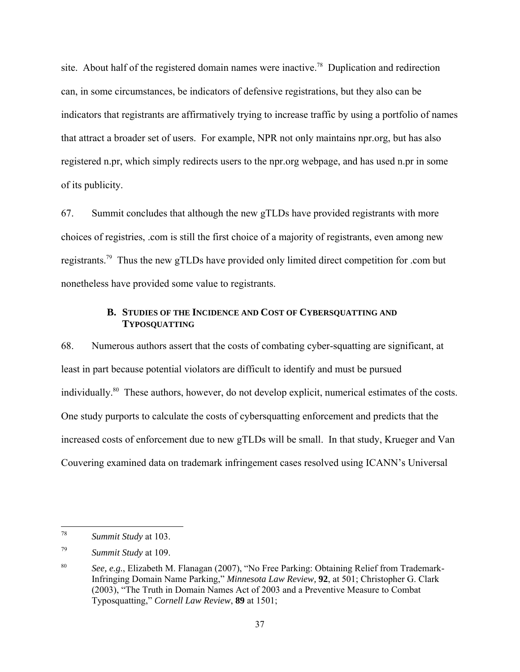site. About half of the registered domain names were inactive.<sup>78</sup> Duplication and redirection can, in some circumstances, be indicators of defensive registrations, but they also can be indicators that registrants are affirmatively trying to increase traffic by using a portfolio of names that attract a broader set of users. For example, NPR not only maintains npr.org, but has also registered n.pr, which simply redirects users to the npr.org webpage, and has used n.pr in some of its publicity.

67. Summit concludes that although the new gTLDs have provided registrants with more choices of registries, .com is still the first choice of a majority of registrants, even among new registrants.79 Thus the new gTLDs have provided only limited direct competition for .com but nonetheless have provided some value to registrants.

## **B. STUDIES OF THE INCIDENCE AND COST OF CYBERSQUATTING AND TYPOSQUATTING**

68. Numerous authors assert that the costs of combating cyber-squatting are significant, at least in part because potential violators are difficult to identify and must be pursued individually.80 These authors, however, do not develop explicit, numerical estimates of the costs. One study purports to calculate the costs of cybersquatting enforcement and predicts that the increased costs of enforcement due to new gTLDs will be small. In that study, Krueger and Van Couvering examined data on trademark infringement cases resolved using ICANN's Universal

 $\overline{a}$ 

<sup>78</sup> *Summit Study* at 103.

<sup>79</sup> *Summit Study* at 109.

<sup>80</sup> *See, e.g.*, Elizabeth M. Flanagan (2007), "No Free Parking: Obtaining Relief from Trademark-Infringing Domain Name Parking," *Minnesota Law Review,* **92**, at 501; Christopher G. Clark (2003), "The Truth in Domain Names Act of 2003 and a Preventive Measure to Combat Typosquatting," *Cornell Law Review*, **89** at 1501;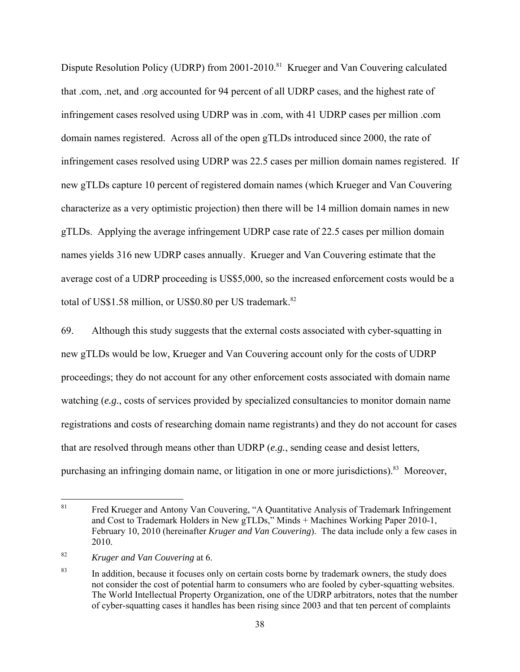Dispute Resolution Policy (UDRP) from 2001-2010.<sup>81</sup> Krueger and Van Couvering calculated that .com, .net, and .org accounted for 94 percent of all UDRP cases, and the highest rate of infringement cases resolved using UDRP was in .com, with 41 UDRP cases per million .com domain names registered. Across all of the open gTLDs introduced since 2000, the rate of infringement cases resolved using UDRP was 22.5 cases per million domain names registered. If new gTLDs capture 10 percent of registered domain names (which Krueger and Van Couvering characterize as a very optimistic projection) then there will be 14 million domain names in new gTLDs. Applying the average infringement UDRP case rate of 22.5 cases per million domain names yields 316 new UDRP cases annually. Krueger and Van Couvering estimate that the average cost of a UDRP proceeding is US\$5,000, so the increased enforcement costs would be a total of US\$1.58 million, or US\$0.80 per US trademark.<sup>82</sup>

69. Although this study suggests that the external costs associated with cyber-squatting in new gTLDs would be low, Krueger and Van Couvering account only for the costs of UDRP proceedings; they do not account for any other enforcement costs associated with domain name watching (*e.g.*, costs of services provided by specialized consultancies to monitor domain name registrations and costs of researching domain name registrants) and they do not account for cases that are resolved through means other than UDRP (*e.g.*, sending cease and desist letters, purchasing an infringing domain name, or litigation in one or more jurisdictions).<sup>83</sup> Moreover,

<sup>81</sup> 81 Fred Krueger and Antony Van Couvering, "A Quantitative Analysis of Trademark Infringement and Cost to Trademark Holders in New gTLDs," Minds + Machines Working Paper 2010-1, February 10, 2010 (hereinafter *Kruger and Van Couvering*). The data include only a few cases in 2010.

<sup>82</sup> *Kruger and Van Couvering* at 6.

<sup>&</sup>lt;sup>83</sup> In addition, because it focuses only on certain costs borne by trademark owners, the study does not consider the cost of potential harm to consumers who are fooled by cyber-squatting websites. The World Intellectual Property Organization, one of the UDRP arbitrators, notes that the number of cyber-squatting cases it handles has been rising since 2003 and that ten percent of complaints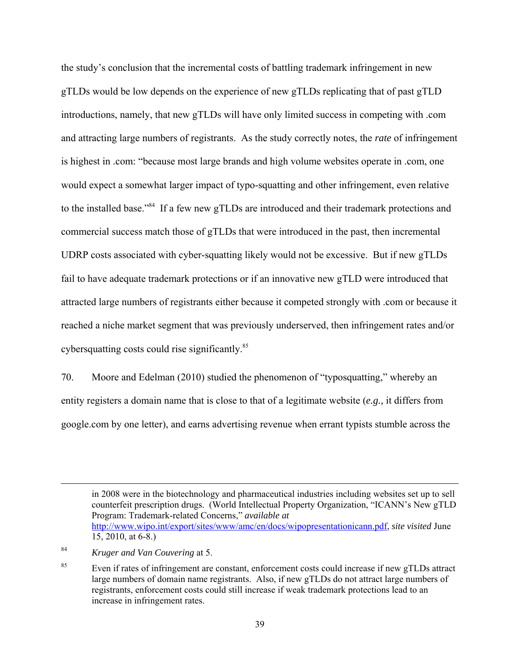the study's conclusion that the incremental costs of battling trademark infringement in new gTLDs would be low depends on the experience of new gTLDs replicating that of past gTLD introductions, namely, that new gTLDs will have only limited success in competing with .com and attracting large numbers of registrants. As the study correctly notes, the *rate* of infringement is highest in .com: "because most large brands and high volume websites operate in .com, one would expect a somewhat larger impact of typo-squatting and other infringement, even relative to the installed base."84 If a few new gTLDs are introduced and their trademark protections and commercial success match those of gTLDs that were introduced in the past, then incremental UDRP costs associated with cyber-squatting likely would not be excessive. But if new gTLDs fail to have adequate trademark protections or if an innovative new gTLD were introduced that attracted large numbers of registrants either because it competed strongly with .com or because it reached a niche market segment that was previously underserved, then infringement rates and/or cybersquatting costs could rise significantly.<sup>85</sup>

70. Moore and Edelman (2010) studied the phenomenon of "typosquatting," whereby an entity registers a domain name that is close to that of a legitimate website (*e.g.,* it differs from google.com by one letter), and earns advertising revenue when errant typists stumble across the

 $\overline{a}$ 

in 2008 were in the biotechnology and pharmaceutical industries including websites set up to sell counterfeit prescription drugs. (World Intellectual Property Organization, "ICANN's New gTLD Program: Trademark-related Concerns," *available at* http://www.wipo.int/export/sites/www/amc/en/docs/wipopresentationicann.pdf, *site visited* June 15, 2010, at 6-8.)

<sup>84</sup> *Kruger and Van Couvering* at 5.

<sup>&</sup>lt;sup>85</sup> Even if rates of infringement are constant, enforcement costs could increase if new gTLDs attract large numbers of domain name registrants. Also, if new gTLDs do not attract large numbers of registrants, enforcement costs could still increase if weak trademark protections lead to an increase in infringement rates.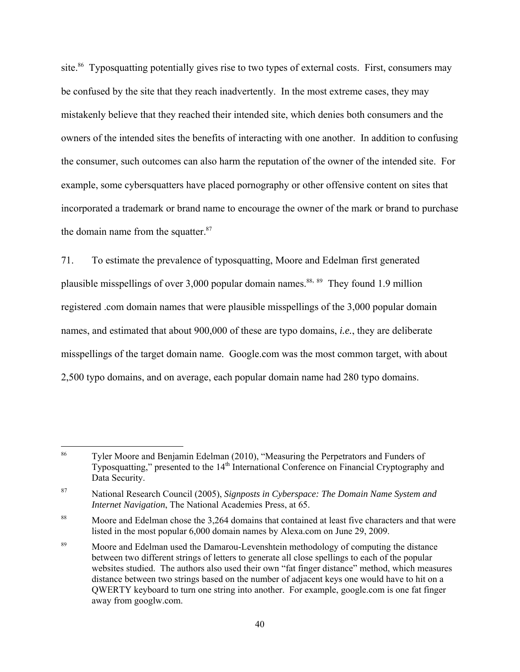site.<sup>86</sup> Typosquatting potentially gives rise to two types of external costs. First, consumers may be confused by the site that they reach inadvertently. In the most extreme cases, they may mistakenly believe that they reached their intended site, which denies both consumers and the owners of the intended sites the benefits of interacting with one another. In addition to confusing the consumer, such outcomes can also harm the reputation of the owner of the intended site. For example, some cybersquatters have placed pornography or other offensive content on sites that incorporated a trademark or brand name to encourage the owner of the mark or brand to purchase the domain name from the squatter. $87$ 

71. To estimate the prevalence of typosquatting, Moore and Edelman first generated plausible misspellings of over 3,000 popular domain names.<sup>88, 89</sup> They found 1.9 million registered .com domain names that were plausible misspellings of the 3,000 popular domain names, and estimated that about 900,000 of these are typo domains, *i.e.*, they are deliberate misspellings of the target domain name. Google.com was the most common target, with about 2,500 typo domains, and on average, each popular domain name had 280 typo domains.

<sup>86</sup> Tyler Moore and Benjamin Edelman (2010), "Measuring the Perpetrators and Funders of Typosquatting," presented to the  $14<sup>th</sup>$  International Conference on Financial Cryptography and Data Security.

<sup>87</sup> National Research Council (2005), *Signposts in Cyberspace: The Domain Name System and Internet Navigation*, The National Academies Press, at 65.

<sup>&</sup>lt;sup>88</sup> Moore and Edelman chose the 3,264 domains that contained at least five characters and that were listed in the most popular 6,000 domain names by Alexa.com on June 29, 2009.

<sup>89</sup> Moore and Edelman used the Damarou-Levenshtein methodology of computing the distance between two different strings of letters to generate all close spellings to each of the popular websites studied. The authors also used their own "fat finger distance" method, which measures distance between two strings based on the number of adjacent keys one would have to hit on a QWERTY keyboard to turn one string into another. For example, google.com is one fat finger away from googlw.com.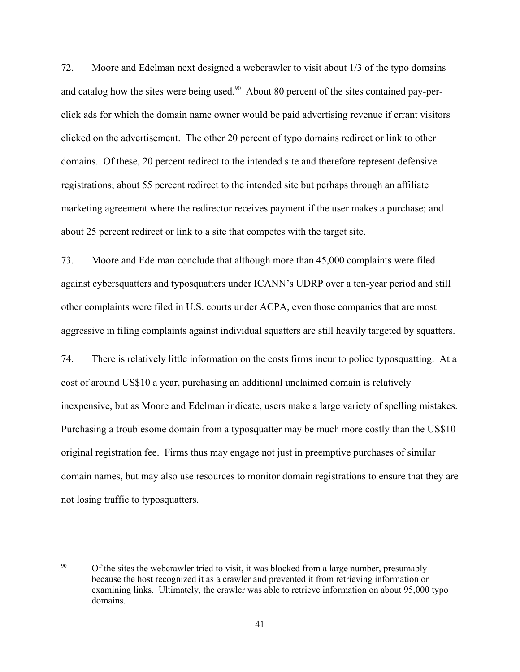72. Moore and Edelman next designed a webcrawler to visit about 1/3 of the typo domains and catalog how the sites were being used.<sup>90</sup> About 80 percent of the sites contained pay-perclick ads for which the domain name owner would be paid advertising revenue if errant visitors clicked on the advertisement. The other 20 percent of typo domains redirect or link to other domains. Of these, 20 percent redirect to the intended site and therefore represent defensive registrations; about 55 percent redirect to the intended site but perhaps through an affiliate marketing agreement where the redirector receives payment if the user makes a purchase; and about 25 percent redirect or link to a site that competes with the target site.

73. Moore and Edelman conclude that although more than 45,000 complaints were filed against cybersquatters and typosquatters under ICANN's UDRP over a ten-year period and still other complaints were filed in U.S. courts under ACPA, even those companies that are most aggressive in filing complaints against individual squatters are still heavily targeted by squatters.

74. There is relatively little information on the costs firms incur to police typosquatting. At a cost of around US\$10 a year, purchasing an additional unclaimed domain is relatively inexpensive, but as Moore and Edelman indicate, users make a large variety of spelling mistakes. Purchasing a troublesome domain from a typosquatter may be much more costly than the US\$10 original registration fee. Firms thus may engage not just in preemptive purchases of similar domain names, but may also use resources to monitor domain registrations to ensure that they are not losing traffic to typosquatters.

 $90<sup>°</sup>$ 90 Of the sites the webcrawler tried to visit, it was blocked from a large number, presumably because the host recognized it as a crawler and prevented it from retrieving information or examining links. Ultimately, the crawler was able to retrieve information on about 95,000 typo domains.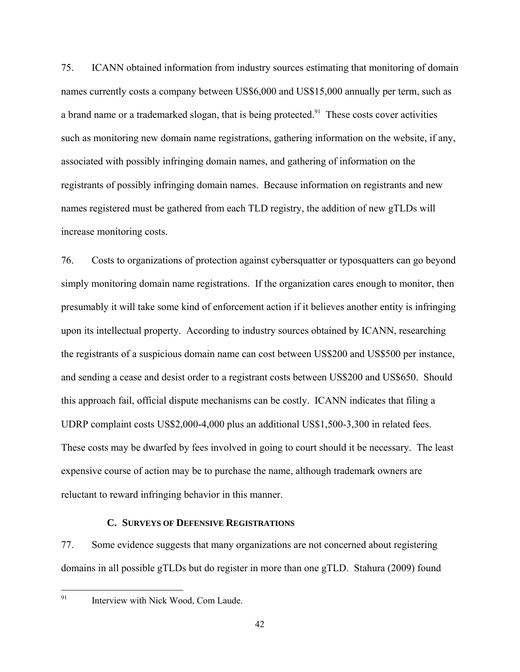75. ICANN obtained information from industry sources estimating that monitoring of domain names currently costs a company between US\$6,000 and US\$15,000 annually per term, such as a brand name or a trademarked slogan, that is being protected.<sup>91</sup> These costs cover activities such as monitoring new domain name registrations, gathering information on the website, if any, associated with possibly infringing domain names, and gathering of information on the registrants of possibly infringing domain names. Because information on registrants and new names registered must be gathered from each TLD registry, the addition of new gTLDs will increase monitoring costs.

76. Costs to organizations of protection against cybersquatter or typosquatters can go beyond simply monitoring domain name registrations. If the organization cares enough to monitor, then presumably it will take some kind of enforcement action if it believes another entity is infringing upon its intellectual property. According to industry sources obtained by ICANN, researching the registrants of a suspicious domain name can cost between US\$200 and US\$500 per instance, and sending a cease and desist order to a registrant costs between US\$200 and US\$650. Should this approach fail, official dispute mechanisms can be costly. ICANN indicates that filing a UDRP complaint costs US\$2,000-4,000 plus an additional US\$1,500-3,300 in related fees. These costs may be dwarfed by fees involved in going to court should it be necessary. The least expensive course of action may be to purchase the name, although trademark owners are reluctant to reward infringing behavior in this manner.

#### **C. SURVEYS OF DEFENSIVE REGISTRATIONS**

77. Some evidence suggests that many organizations are not concerned about registering domains in all possible gTLDs but do register in more than one gTLD. Stahura (2009) found

91

Interview with Nick Wood, Com Laude.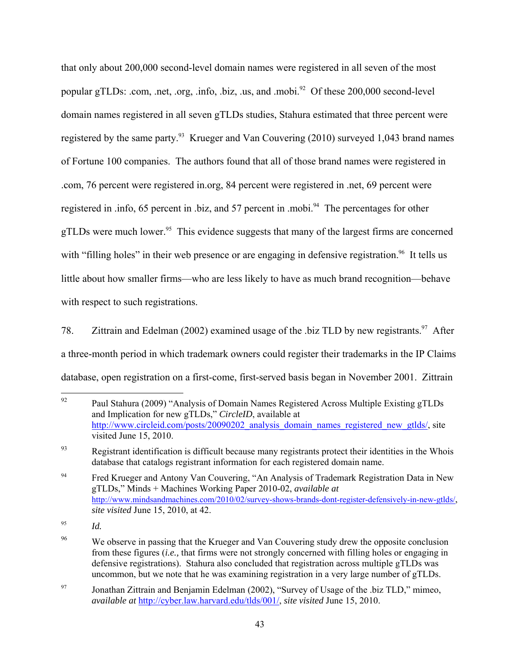that only about 200,000 second-level domain names were registered in all seven of the most popular gTLDs: .com, .net, .org, .info, .biz, .us, and .mobi.<sup>92</sup> Of these 200,000 second-level domain names registered in all seven gTLDs studies, Stahura estimated that three percent were registered by the same party.<sup>93</sup> Krueger and Van Couvering (2010) surveyed 1,043 brand names of Fortune 100 companies. The authors found that all of those brand names were registered in .com, 76 percent were registered in.org, 84 percent were registered in .net, 69 percent were registered in .info, 65 percent in .biz, and 57 percent in .mobi.<sup>94</sup> The percentages for other gTLDs were much lower.<sup>95</sup> This evidence suggests that many of the largest firms are concerned with "filling holes" in their web presence or are engaging in defensive registration.<sup>96</sup> It tells us little about how smaller firms—who are less likely to have as much brand recognition—behave with respect to such registrations.

78. Zittrain and Edelman (2002) examined usage of the .biz TLD by new registrants.<sup>97</sup> After a three-month period in which trademark owners could register their trademarks in the IP Claims database, open registration on a first-come, first-served basis began in November 2001. Zittrain

<sup>92</sup> Paul Stahura (2009) "Analysis of Domain Names Registered Across Multiple Existing gTLDs and Implication for new gTLDs," *CircleID*, available at http://www.circleid.com/posts/20090202\_analysis\_domain\_names\_registered\_new\_gtlds/, site visited June 15, 2010.

<sup>&</sup>lt;sup>93</sup> Registrant identification is difficult because many registrants protect their identities in the Whois database that catalogs registrant information for each registered domain name.

<sup>&</sup>lt;sup>94</sup> Fred Krueger and Antony Van Couvering, "An Analysis of Trademark Registration Data in New gTLDs," Minds + Machines Working Paper 2010-02, *available at* http://www.mindsandmachines.com/2010/02/survey-shows-brands-dont-register-defensively-in-new-gtlds/, *site visited* June 15, 2010, at 42.

<sup>95</sup> *Id.*

<sup>&</sup>lt;sup>96</sup> We observe in passing that the Krueger and Van Couvering study drew the opposite conclusion from these figures (*i.e.,* that firms were not strongly concerned with filling holes or engaging in defensive registrations). Stahura also concluded that registration across multiple gTLDs was uncommon, but we note that he was examining registration in a very large number of gTLDs.

<sup>97</sup> Jonathan Zittrain and Benjamin Edelman (2002), "Survey of Usage of the .biz TLD," mimeo, *available at* http://cyber.law.harvard.edu/tlds/001/, *site visited* June 15, 2010.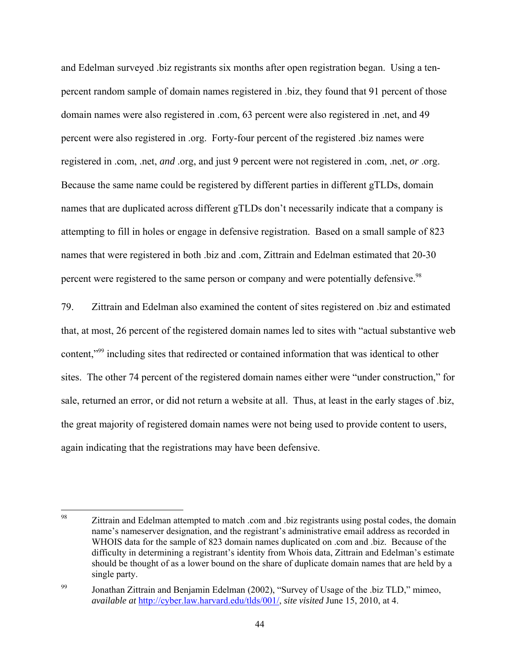and Edelman surveyed .biz registrants six months after open registration began. Using a tenpercent random sample of domain names registered in .biz, they found that 91 percent of those domain names were also registered in .com, 63 percent were also registered in .net, and 49 percent were also registered in .org. Forty-four percent of the registered .biz names were registered in .com, .net, *and* .org, and just 9 percent were not registered in .com, .net, *or* .org. Because the same name could be registered by different parties in different gTLDs, domain names that are duplicated across different gTLDs don't necessarily indicate that a company is attempting to fill in holes or engage in defensive registration. Based on a small sample of 823 names that were registered in both .biz and .com, Zittrain and Edelman estimated that 20-30 percent were registered to the same person or company and were potentially defensive.<sup>98</sup>

79. Zittrain and Edelman also examined the content of sites registered on .biz and estimated that, at most, 26 percent of the registered domain names led to sites with "actual substantive web content,"99 including sites that redirected or contained information that was identical to other sites. The other 74 percent of the registered domain names either were "under construction," for sale, returned an error, or did not return a website at all. Thus, at least in the early stages of .biz, the great majority of registered domain names were not being used to provide content to users, again indicating that the registrations may have been defensive.

<sup>98</sup> 98 Zittrain and Edelman attempted to match .com and .biz registrants using postal codes, the domain name's nameserver designation, and the registrant's administrative email address as recorded in WHOIS data for the sample of 823 domain names duplicated on .com and .biz. Because of the difficulty in determining a registrant's identity from Whois data, Zittrain and Edelman's estimate should be thought of as a lower bound on the share of duplicate domain names that are held by a single party.

<sup>&</sup>lt;sup>99</sup> Jonathan Zittrain and Benjamin Edelman (2002), "Survey of Usage of the .biz TLD," mimeo, *available at* http://cyber.law.harvard.edu/tlds/001/, *site visited* June 15, 2010, at 4.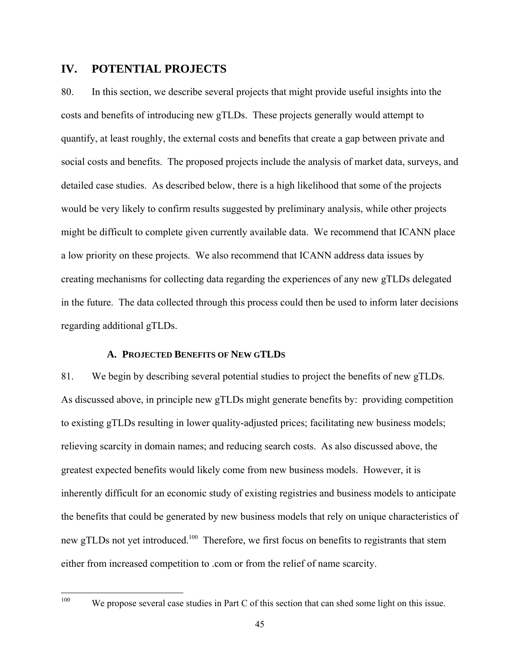# **IV. POTENTIAL PROJECTS**

80. In this section, we describe several projects that might provide useful insights into the costs and benefits of introducing new gTLDs. These projects generally would attempt to quantify, at least roughly, the external costs and benefits that create a gap between private and social costs and benefits. The proposed projects include the analysis of market data, surveys, and detailed case studies. As described below, there is a high likelihood that some of the projects would be very likely to confirm results suggested by preliminary analysis, while other projects might be difficult to complete given currently available data. We recommend that ICANN place a low priority on these projects. We also recommend that ICANN address data issues by creating mechanisms for collecting data regarding the experiences of any new gTLDs delegated in the future. The data collected through this process could then be used to inform later decisions regarding additional gTLDs.

#### **A. PROJECTED BENEFITS OF NEW GTLDS**

81. We begin by describing several potential studies to project the benefits of new gTLDs. As discussed above, in principle new gTLDs might generate benefits by: providing competition to existing gTLDs resulting in lower quality-adjusted prices; facilitating new business models; relieving scarcity in domain names; and reducing search costs. As also discussed above, the greatest expected benefits would likely come from new business models. However, it is inherently difficult for an economic study of existing registries and business models to anticipate the benefits that could be generated by new business models that rely on unique characteristics of new gTLDs not yet introduced.<sup>100</sup> Therefore, we first focus on benefits to registrants that stem either from increased competition to .com or from the relief of name scarcity.

100

We propose several case studies in Part C of this section that can shed some light on this issue.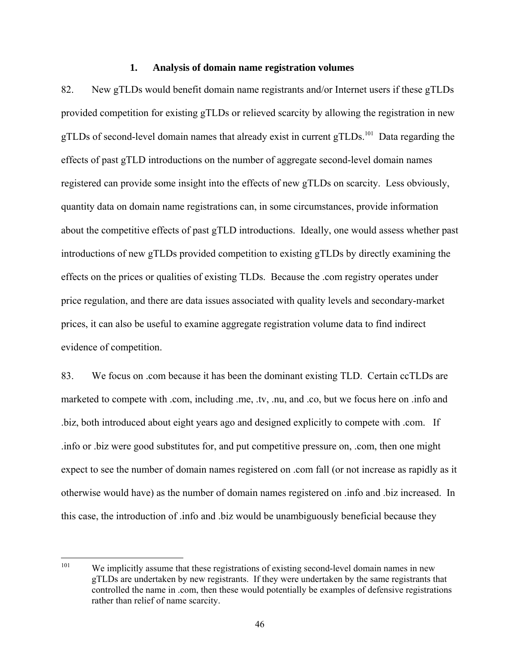#### **1. Analysis of domain name registration volumes**

82. New gTLDs would benefit domain name registrants and/or Internet users if these gTLDs provided competition for existing gTLDs or relieved scarcity by allowing the registration in new gTLDs of second-level domain names that already exist in current gTLDs.<sup>101</sup> Data regarding the effects of past gTLD introductions on the number of aggregate second-level domain names registered can provide some insight into the effects of new gTLDs on scarcity. Less obviously, quantity data on domain name registrations can, in some circumstances, provide information about the competitive effects of past gTLD introductions. Ideally, one would assess whether past introductions of new gTLDs provided competition to existing gTLDs by directly examining the effects on the prices or qualities of existing TLDs. Because the .com registry operates under price regulation, and there are data issues associated with quality levels and secondary-market prices, it can also be useful to examine aggregate registration volume data to find indirect evidence of competition.

83. We focus on .com because it has been the dominant existing TLD. Certain ccTLDs are marketed to compete with .com, including .me, .tv, .nu, and .co, but we focus here on .info and .biz, both introduced about eight years ago and designed explicitly to compete with .com. If .info or .biz were good substitutes for, and put competitive pressure on, .com, then one might expect to see the number of domain names registered on .com fall (or not increase as rapidly as it otherwise would have) as the number of domain names registered on .info and .biz increased. In this case, the introduction of .info and .biz would be unambiguously beneficial because they

 $101$ We implicitly assume that these registrations of existing second-level domain names in new gTLDs are undertaken by new registrants. If they were undertaken by the same registrants that controlled the name in .com, then these would potentially be examples of defensive registrations rather than relief of name scarcity.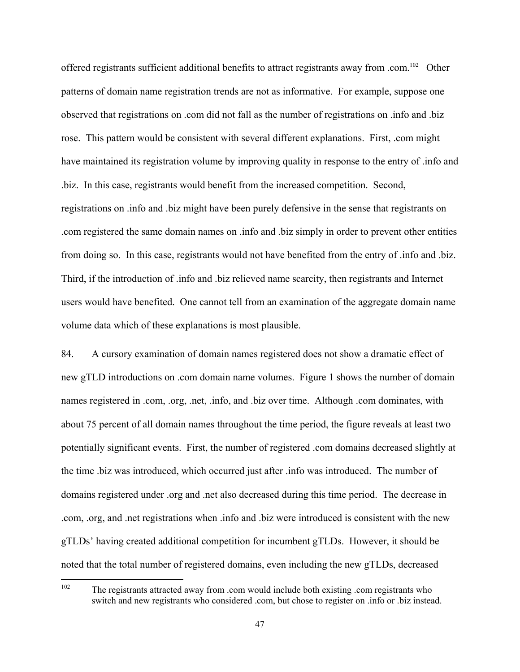offered registrants sufficient additional benefits to attract registrants away from .com.<sup>102</sup> Other patterns of domain name registration trends are not as informative. For example, suppose one observed that registrations on .com did not fall as the number of registrations on .info and .biz rose. This pattern would be consistent with several different explanations. First, .com might have maintained its registration volume by improving quality in response to the entry of .info and .biz. In this case, registrants would benefit from the increased competition. Second, registrations on .info and .biz might have been purely defensive in the sense that registrants on .com registered the same domain names on .info and .biz simply in order to prevent other entities from doing so. In this case, registrants would not have benefited from the entry of .info and .biz. Third, if the introduction of .info and .biz relieved name scarcity, then registrants and Internet users would have benefited. One cannot tell from an examination of the aggregate domain name volume data which of these explanations is most plausible.

84. A cursory examination of domain names registered does not show a dramatic effect of new gTLD introductions on .com domain name volumes. Figure 1 shows the number of domain names registered in .com, .org, .net, .info, and .biz over time. Although .com dominates, with about 75 percent of all domain names throughout the time period, the figure reveals at least two potentially significant events. First, the number of registered .com domains decreased slightly at the time .biz was introduced, which occurred just after .info was introduced. The number of domains registered under .org and .net also decreased during this time period. The decrease in .com, .org, and .net registrations when .info and .biz were introduced is consistent with the new gTLDs' having created additional competition for incumbent gTLDs. However, it should be noted that the total number of registered domains, even including the new gTLDs, decreased

<sup>102</sup> 102 The registrants attracted away from .com would include both existing .com registrants who switch and new registrants who considered .com, but chose to register on .info or .biz instead.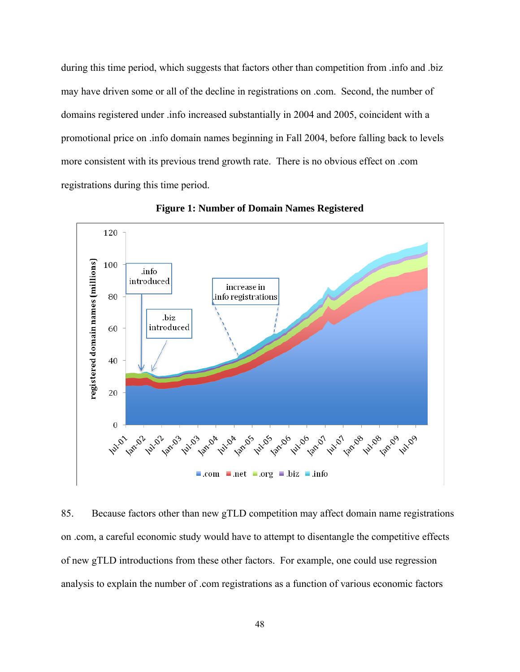during this time period, which suggests that factors other than competition from .info and .biz may have driven some or all of the decline in registrations on .com. Second, the number of domains registered under .info increased substantially in 2004 and 2005, coincident with a promotional price on .info domain names beginning in Fall 2004, before falling back to levels more consistent with its previous trend growth rate. There is no obvious effect on .com registrations during this time period.



**Figure 1: Number of Domain Names Registered** 

85. Because factors other than new gTLD competition may affect domain name registrations on .com, a careful economic study would have to attempt to disentangle the competitive effects of new gTLD introductions from these other factors. For example, one could use regression analysis to explain the number of .com registrations as a function of various economic factors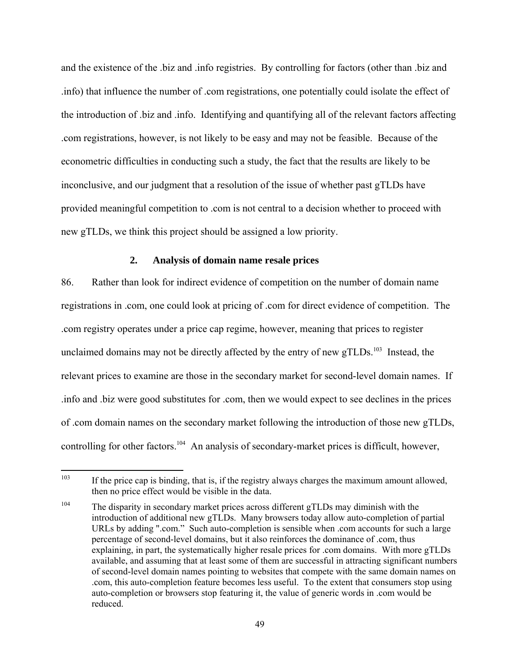and the existence of the .biz and .info registries. By controlling for factors (other than .biz and .info) that influence the number of .com registrations, one potentially could isolate the effect of the introduction of .biz and .info. Identifying and quantifying all of the relevant factors affecting .com registrations, however, is not likely to be easy and may not be feasible. Because of the econometric difficulties in conducting such a study, the fact that the results are likely to be inconclusive, and our judgment that a resolution of the issue of whether past gTLDs have provided meaningful competition to .com is not central to a decision whether to proceed with new gTLDs, we think this project should be assigned a low priority.

## **2. Analysis of domain name resale prices**

86. Rather than look for indirect evidence of competition on the number of domain name registrations in .com, one could look at pricing of .com for direct evidence of competition. The .com registry operates under a price cap regime, however, meaning that prices to register unclaimed domains may not be directly affected by the entry of new  $gTLDs$ <sup>103</sup> Instead, the relevant prices to examine are those in the secondary market for second-level domain names. If .info and .biz were good substitutes for .com, then we would expect to see declines in the prices of .com domain names on the secondary market following the introduction of those new gTLDs, controlling for other factors.<sup>104</sup> An analysis of secondary-market prices is difficult, however,

<sup>103</sup> If the price cap is binding, that is, if the registry always charges the maximum amount allowed, then no price effect would be visible in the data.

<sup>&</sup>lt;sup>104</sup> The disparity in secondary market prices across different gTLDs may diminish with the introduction of additional new gTLDs. Many browsers today allow auto-completion of partial URLs by adding ".com." Such auto-completion is sensible when .com accounts for such a large percentage of second-level domains, but it also reinforces the dominance of .com, thus explaining, in part, the systematically higher resale prices for .com domains. With more gTLDs available, and assuming that at least some of them are successful in attracting significant numbers of second-level domain names pointing to websites that compete with the same domain names on .com, this auto-completion feature becomes less useful. To the extent that consumers stop using auto-completion or browsers stop featuring it, the value of generic words in .com would be reduced.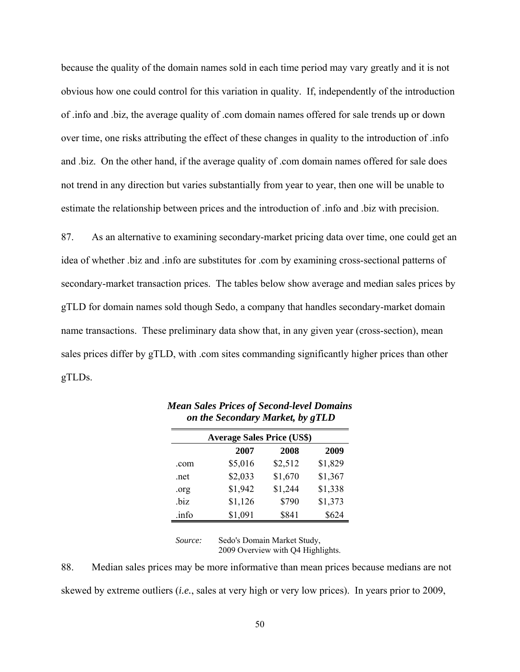because the quality of the domain names sold in each time period may vary greatly and it is not obvious how one could control for this variation in quality. If, independently of the introduction of .info and .biz, the average quality of .com domain names offered for sale trends up or down over time, one risks attributing the effect of these changes in quality to the introduction of .info and .biz. On the other hand, if the average quality of .com domain names offered for sale does not trend in any direction but varies substantially from year to year, then one will be unable to estimate the relationship between prices and the introduction of .info and .biz with precision.

87. As an alternative to examining secondary-market pricing data over time, one could get an idea of whether .biz and .info are substitutes for .com by examining cross-sectional patterns of secondary-market transaction prices. The tables below show average and median sales prices by gTLD for domain names sold though Sedo, a company that handles secondary-market domain name transactions. These preliminary data show that, in any given year (cross-section), mean sales prices differ by gTLD, with .com sites commanding significantly higher prices than other gTLDs.

| <b>Average Sales Price (US\$)</b> |                      |         |         |  |  |  |
|-----------------------------------|----------------------|---------|---------|--|--|--|
|                                   | 2007<br>2008<br>2009 |         |         |  |  |  |
| .com                              | \$5,016              | \$2,512 | \$1,829 |  |  |  |
| .net                              | \$2,033              | \$1,670 | \$1,367 |  |  |  |
| .0rg                              | \$1,942              | \$1,244 | \$1,338 |  |  |  |
| .biz                              | \$1,126              | \$790   | \$1,373 |  |  |  |
| .info                             | \$1,091              | \$841   | \$624   |  |  |  |

*Mean Sales Prices of Second-level Domains on the Secondary Market, by gTLD* 

Source: Sedo's Domain Market Study, 2009 Overview with Q4 Highlights.

88. Median sales prices may be more informative than mean prices because medians are not skewed by extreme outliers (*i.e.*, sales at very high or very low prices). In years prior to 2009,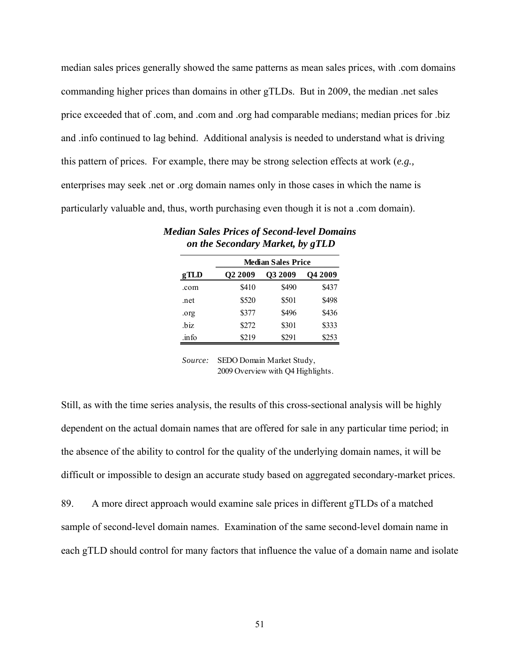median sales prices generally showed the same patterns as mean sales prices, with .com domains commanding higher prices than domains in other gTLDs. But in 2009, the median .net sales price exceeded that of .com, and .com and .org had comparable medians; median prices for .biz and .info continued to lag behind. Additional analysis is needed to understand what is driving this pattern of prices. For example, there may be strong selection effects at work (*e.g.,* enterprises may seek .net or .org domain names only in those cases in which the name is particularly valuable and, thus, worth purchasing even though it is not a .com domain).

|        | <b>Median Sales Price</b> |         |                |  |  |
|--------|---------------------------|---------|----------------|--|--|
| gTLD   | <b>O2 2009</b>            | O3 2009 | <b>O4 2009</b> |  |  |
| .com   | \$410                     | \$490   | \$437          |  |  |
| .net   | \$520                     | \$501   | \$498          |  |  |
| .org   | \$377                     | \$496   | \$436          |  |  |
| .biz   | \$272                     | \$301   | \$333          |  |  |
| .in fo | \$219                     | \$291   | \$253          |  |  |

*Median Sales Prices of Second-level Domains on the Secondary Market, by gTLD* 

Still, as with the time series analysis, the results of this cross-sectional analysis will be highly dependent on the actual domain names that are offered for sale in any particular time period; in the absence of the ability to control for the quality of the underlying domain names, it will be difficult or impossible to design an accurate study based on aggregated secondary-market prices.

89. A more direct approach would examine sale prices in different gTLDs of a matched sample of second-level domain names. Examination of the same second-level domain name in each gTLD should control for many factors that influence the value of a domain name and isolate

*Source:* SEDO Domain Market Study, 2009 Overview with Q4 Highlights.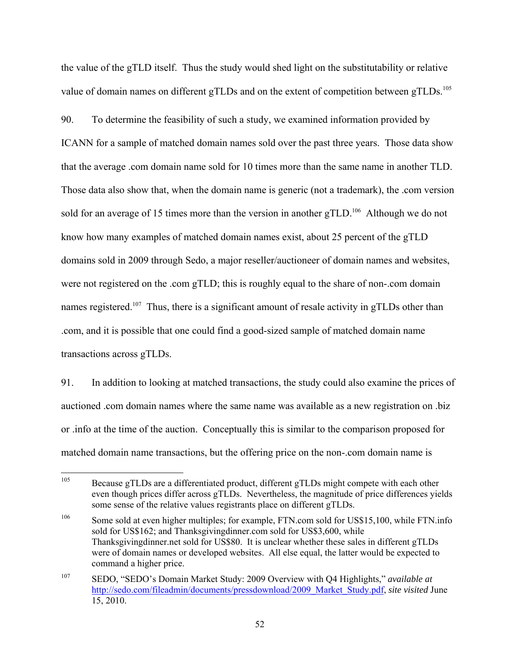the value of the gTLD itself. Thus the study would shed light on the substitutability or relative value of domain names on different gTLDs and on the extent of competition between gTLDs.<sup>105</sup>

90. To determine the feasibility of such a study, we examined information provided by ICANN for a sample of matched domain names sold over the past three years. Those data show that the average .com domain name sold for 10 times more than the same name in another TLD. Those data also show that, when the domain name is generic (not a trademark), the .com version sold for an average of 15 times more than the version in another gTLD.<sup>106</sup> Although we do not know how many examples of matched domain names exist, about 25 percent of the gTLD domains sold in 2009 through Sedo, a major reseller/auctioneer of domain names and websites, were not registered on the .com gTLD; this is roughly equal to the share of non-.com domain names registered.<sup>107</sup> Thus, there is a significant amount of resale activity in gTLDs other than .com, and it is possible that one could find a good-sized sample of matched domain name transactions across gTLDs.

91. In addition to looking at matched transactions, the study could also examine the prices of auctioned .com domain names where the same name was available as a new registration on .biz or .info at the time of the auction. Conceptually this is similar to the comparison proposed for matched domain name transactions, but the offering price on the non-.com domain name is

<sup>105</sup> 105 Because gTLDs are a differentiated product, different gTLDs might compete with each other even though prices differ across gTLDs. Nevertheless, the magnitude of price differences yields some sense of the relative values registrants place on different gTLDs.

<sup>&</sup>lt;sup>106</sup> Some sold at even higher multiples; for example, FTN.com sold for US\$15,100, while FTN.info sold for US\$162; and Thanksgivingdinner.com sold for US\$3,600, while Thanksgivingdinner.net sold for US\$80. It is unclear whether these sales in different gTLDs were of domain names or developed websites. All else equal, the latter would be expected to command a higher price.

<sup>107</sup> SEDO, "SEDO's Domain Market Study: 2009 Overview with Q4 Highlights," *available at* http://sedo.com/fileadmin/documents/pressdownload/2009\_Market\_Study.pdf, *site visited* June 15, 2010.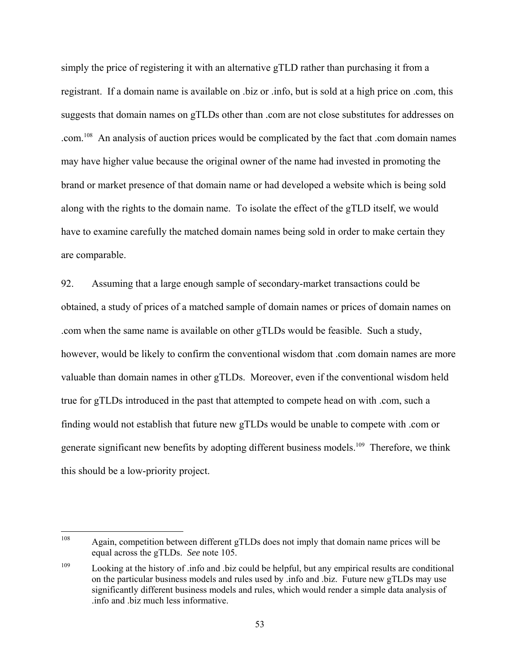simply the price of registering it with an alternative gTLD rather than purchasing it from a registrant. If a domain name is available on .biz or .info, but is sold at a high price on .com, this suggests that domain names on gTLDs other than .com are not close substitutes for addresses on .com.<sup>108</sup> An analysis of auction prices would be complicated by the fact that .com domain names may have higher value because the original owner of the name had invested in promoting the brand or market presence of that domain name or had developed a website which is being sold along with the rights to the domain name. To isolate the effect of the gTLD itself, we would have to examine carefully the matched domain names being sold in order to make certain they are comparable.

92. Assuming that a large enough sample of secondary-market transactions could be obtained, a study of prices of a matched sample of domain names or prices of domain names on .com when the same name is available on other gTLDs would be feasible. Such a study, however, would be likely to confirm the conventional wisdom that .com domain names are more valuable than domain names in other gTLDs. Moreover, even if the conventional wisdom held true for gTLDs introduced in the past that attempted to compete head on with .com, such a finding would not establish that future new gTLDs would be unable to compete with .com or generate significant new benefits by adopting different business models.<sup>109</sup> Therefore, we think this should be a low-priority project.

<sup>108</sup> Again, competition between different gTLDs does not imply that domain name prices will be equal across the gTLDs. *See* note 105.

<sup>109</sup> Looking at the history of .info and .biz could be helpful, but any empirical results are conditional on the particular business models and rules used by .info and .biz. Future new gTLDs may use significantly different business models and rules, which would render a simple data analysis of .info and .biz much less informative.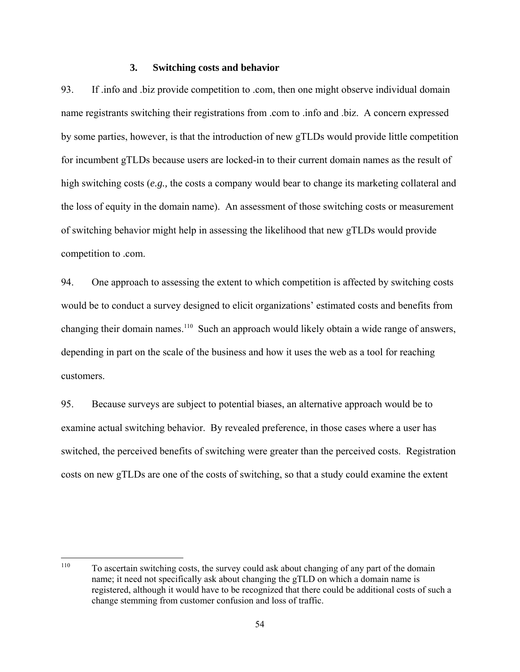#### **3. Switching costs and behavior**

93. If .info and .biz provide competition to .com, then one might observe individual domain name registrants switching their registrations from .com to .info and .biz. A concern expressed by some parties, however, is that the introduction of new gTLDs would provide little competition for incumbent gTLDs because users are locked-in to their current domain names as the result of high switching costs (*e.g.*, the costs a company would bear to change its marketing collateral and the loss of equity in the domain name). An assessment of those switching costs or measurement of switching behavior might help in assessing the likelihood that new gTLDs would provide competition to .com.

94. One approach to assessing the extent to which competition is affected by switching costs would be to conduct a survey designed to elicit organizations' estimated costs and benefits from changing their domain names.<sup>110</sup> Such an approach would likely obtain a wide range of answers, depending in part on the scale of the business and how it uses the web as a tool for reaching customers.

95. Because surveys are subject to potential biases, an alternative approach would be to examine actual switching behavior. By revealed preference, in those cases where a user has switched, the perceived benefits of switching were greater than the perceived costs. Registration costs on new gTLDs are one of the costs of switching, so that a study could examine the extent

<sup>110</sup> 110 To ascertain switching costs, the survey could ask about changing of any part of the domain name; it need not specifically ask about changing the gTLD on which a domain name is registered, although it would have to be recognized that there could be additional costs of such a change stemming from customer confusion and loss of traffic.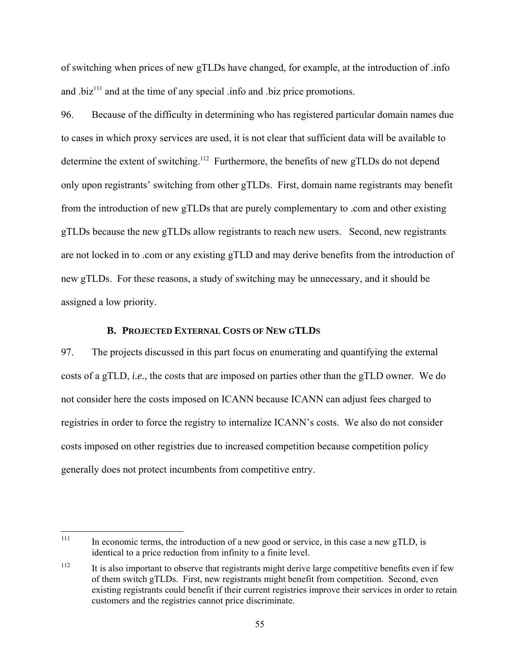of switching when prices of new gTLDs have changed, for example, at the introduction of .info and .biz $111$  and at the time of any special .info and .biz price promotions.

96. Because of the difficulty in determining who has registered particular domain names due to cases in which proxy services are used, it is not clear that sufficient data will be available to determine the extent of switching.<sup>112</sup> Furthermore, the benefits of new gTLDs do not depend only upon registrants' switching from other gTLDs. First, domain name registrants may benefit from the introduction of new gTLDs that are purely complementary to .com and other existing gTLDs because the new gTLDs allow registrants to reach new users. Second, new registrants are not locked in to .com or any existing gTLD and may derive benefits from the introduction of new gTLDs. For these reasons, a study of switching may be unnecessary, and it should be assigned a low priority.

## **B. PROJECTED EXTERNAL COSTS OF NEW GTLDS**

97. The projects discussed in this part focus on enumerating and quantifying the external costs of a gTLD, *i.e.*, the costs that are imposed on parties other than the gTLD owner. We do not consider here the costs imposed on ICANN because ICANN can adjust fees charged to registries in order to force the registry to internalize ICANN's costs. We also do not consider costs imposed on other registries due to increased competition because competition policy generally does not protect incumbents from competitive entry.

<sup>111</sup> In economic terms, the introduction of a new good or service, in this case a new gTLD, is identical to a price reduction from infinity to a finite level.

<sup>&</sup>lt;sup>112</sup> It is also important to observe that registrants might derive large competitive benefits even if few of them switch gTLDs. First, new registrants might benefit from competition. Second, even existing registrants could benefit if their current registries improve their services in order to retain customers and the registries cannot price discriminate.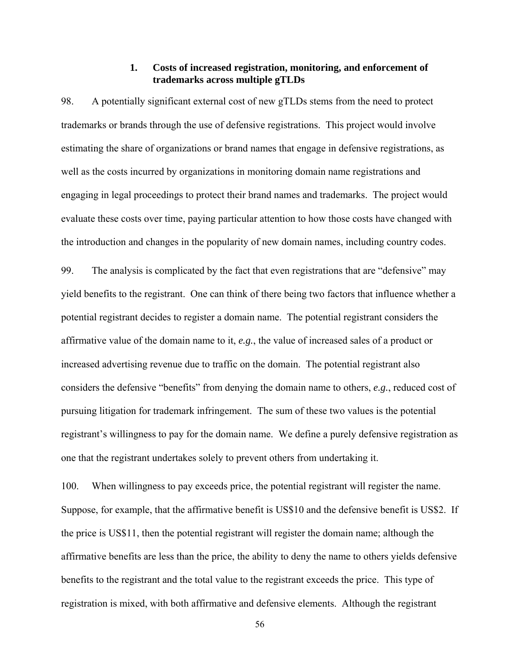#### **1. Costs of increased registration, monitoring, and enforcement of trademarks across multiple gTLDs**

98. A potentially significant external cost of new gTLDs stems from the need to protect trademarks or brands through the use of defensive registrations. This project would involve estimating the share of organizations or brand names that engage in defensive registrations, as well as the costs incurred by organizations in monitoring domain name registrations and engaging in legal proceedings to protect their brand names and trademarks. The project would evaluate these costs over time, paying particular attention to how those costs have changed with the introduction and changes in the popularity of new domain names, including country codes.

99. The analysis is complicated by the fact that even registrations that are "defensive" may yield benefits to the registrant. One can think of there being two factors that influence whether a potential registrant decides to register a domain name. The potential registrant considers the affirmative value of the domain name to it, *e.g.*, the value of increased sales of a product or increased advertising revenue due to traffic on the domain. The potential registrant also considers the defensive "benefits" from denying the domain name to others, *e.g.*, reduced cost of pursuing litigation for trademark infringement. The sum of these two values is the potential registrant's willingness to pay for the domain name. We define a purely defensive registration as one that the registrant undertakes solely to prevent others from undertaking it.

100. When willingness to pay exceeds price, the potential registrant will register the name. Suppose, for example, that the affirmative benefit is US\$10 and the defensive benefit is US\$2. If the price is US\$11, then the potential registrant will register the domain name; although the affirmative benefits are less than the price, the ability to deny the name to others yields defensive benefits to the registrant and the total value to the registrant exceeds the price. This type of registration is mixed, with both affirmative and defensive elements. Although the registrant

56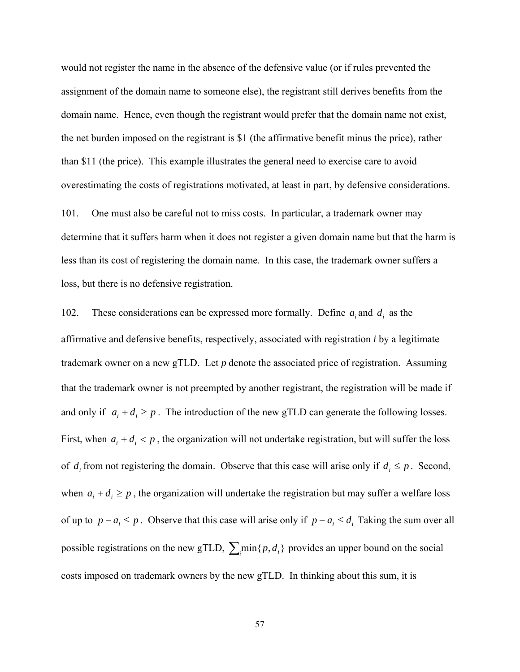would not register the name in the absence of the defensive value (or if rules prevented the assignment of the domain name to someone else), the registrant still derives benefits from the domain name. Hence, even though the registrant would prefer that the domain name not exist, the net burden imposed on the registrant is \$1 (the affirmative benefit minus the price), rather than \$11 (the price). This example illustrates the general need to exercise care to avoid overestimating the costs of registrations motivated, at least in part, by defensive considerations.

101. One must also be careful not to miss costs. In particular, a trademark owner may determine that it suffers harm when it does not register a given domain name but that the harm is less than its cost of registering the domain name. In this case, the trademark owner suffers a loss, but there is no defensive registration.

102. These considerations can be expressed more formally. Define  $a_i$  and  $d_i$  as the affirmative and defensive benefits, respectively, associated with registration *i* by a legitimate trademark owner on a new gTLD. Let *p* denote the associated price of registration. Assuming that the trademark owner is not preempted by another registrant, the registration will be made if and only if  $a_i + d_i \geq p$ . The introduction of the new gTLD can generate the following losses. First, when  $a_i + d_i < p$ , the organization will not undertake registration, but will suffer the loss of  $d_i$  from not registering the domain. Observe that this case will arise only if  $d_i \leq p$ . Second, when  $a_i + d_i \geq p$ , the organization will undertake the registration but may suffer a welfare loss of up to  $p - a_i \leq p$ . Observe that this case will arise only if  $p - a_i \leq d_i$  Taking the sum over all possible registrations on the new gTLD,  $\sum_i \min\{p, d_i\}$  provides an upper bound on the social costs imposed on trademark owners by the new gTLD. In thinking about this sum, it is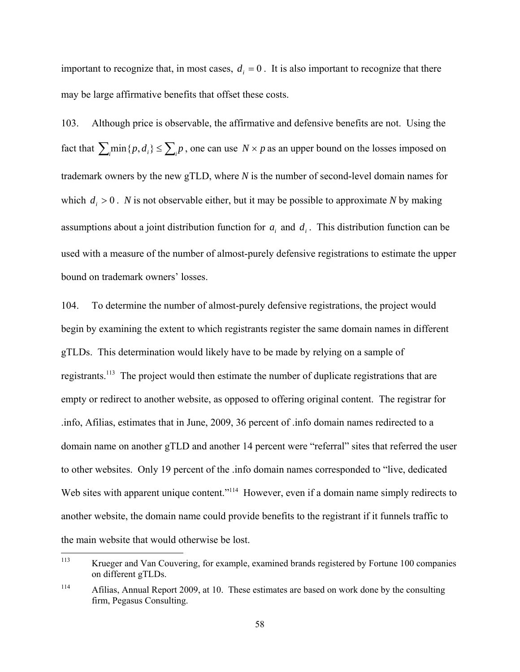important to recognize that, in most cases,  $d_i = 0$ . It is also important to recognize that there may be large affirmative benefits that offset these costs.

103. Although price is observable, the affirmative and defensive benefits are not. Using the fact that  $\sum_i \min\{p, d_i\} \le \sum_i p$ , one can use  $N \times p$  as an upper bound on the losses imposed on trademark owners by the new gTLD, where *N* is the number of second-level domain names for which  $d_i > 0$ . *N* is not observable either, but it may be possible to approximate *N* by making assumptions about a joint distribution function for  $a_i$  and  $d_i$ . This distribution function can be used with a measure of the number of almost-purely defensive registrations to estimate the upper bound on trademark owners' losses.

104. To determine the number of almost-purely defensive registrations, the project would begin by examining the extent to which registrants register the same domain names in different gTLDs. This determination would likely have to be made by relying on a sample of registrants.113 The project would then estimate the number of duplicate registrations that are empty or redirect to another website, as opposed to offering original content. The registrar for .info, Afilias, estimates that in June, 2009, 36 percent of .info domain names redirected to a domain name on another gTLD and another 14 percent were "referral" sites that referred the user to other websites. Only 19 percent of the .info domain names corresponded to "live, dedicated Web sites with apparent unique content."<sup>114</sup> However, even if a domain name simply redirects to another website, the domain name could provide benefits to the registrant if it funnels traffic to the main website that would otherwise be lost.

<sup>113</sup> Krueger and Van Couvering, for example, examined brands registered by Fortune 100 companies on different gTLDs.

<sup>&</sup>lt;sup>114</sup> Afilias, Annual Report 2009, at 10. These estimates are based on work done by the consulting firm, Pegasus Consulting.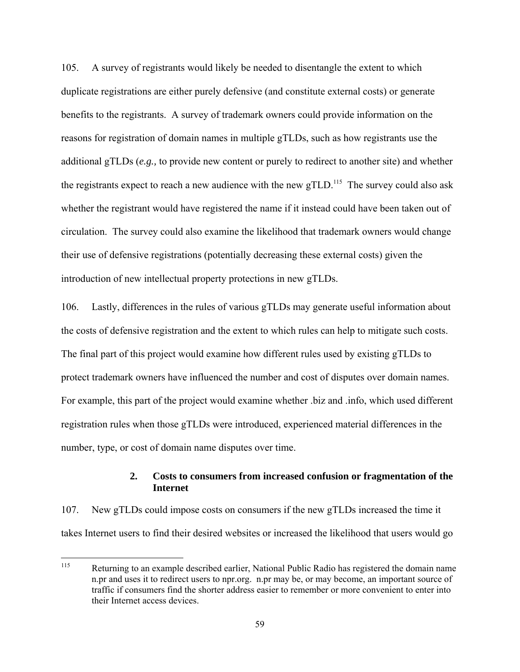105. A survey of registrants would likely be needed to disentangle the extent to which duplicate registrations are either purely defensive (and constitute external costs) or generate benefits to the registrants. A survey of trademark owners could provide information on the reasons for registration of domain names in multiple gTLDs, such as how registrants use the additional gTLDs (*e.g.,* to provide new content or purely to redirect to another site) and whether the registrants expect to reach a new audience with the new  $gTLD$ <sup>115</sup>. The survey could also ask whether the registrant would have registered the name if it instead could have been taken out of circulation. The survey could also examine the likelihood that trademark owners would change their use of defensive registrations (potentially decreasing these external costs) given the introduction of new intellectual property protections in new gTLDs.

106. Lastly, differences in the rules of various gTLDs may generate useful information about the costs of defensive registration and the extent to which rules can help to mitigate such costs. The final part of this project would examine how different rules used by existing gTLDs to protect trademark owners have influenced the number and cost of disputes over domain names. For example, this part of the project would examine whether .biz and .info, which used different registration rules when those gTLDs were introduced, experienced material differences in the number, type, or cost of domain name disputes over time.

## **2. Costs to consumers from increased confusion or fragmentation of the Internet**

107. New gTLDs could impose costs on consumers if the new gTLDs increased the time it takes Internet users to find their desired websites or increased the likelihood that users would go

<sup>115</sup> Returning to an example described earlier, National Public Radio has registered the domain name n.pr and uses it to redirect users to npr.org. n.pr may be, or may become, an important source of traffic if consumers find the shorter address easier to remember or more convenient to enter into their Internet access devices.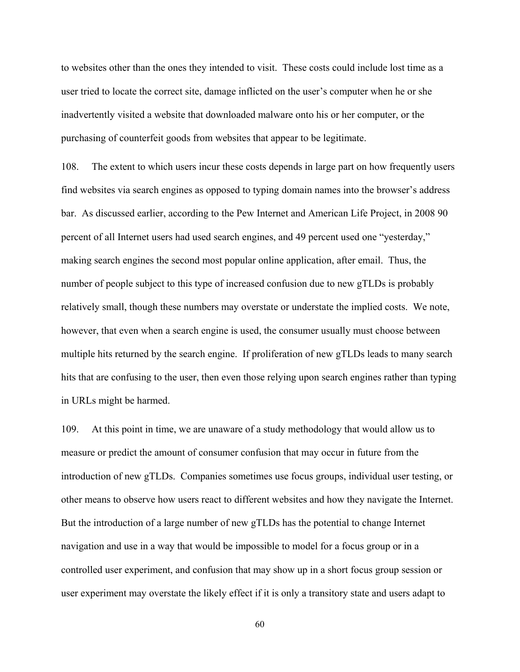to websites other than the ones they intended to visit. These costs could include lost time as a user tried to locate the correct site, damage inflicted on the user's computer when he or she inadvertently visited a website that downloaded malware onto his or her computer, or the purchasing of counterfeit goods from websites that appear to be legitimate.

108. The extent to which users incur these costs depends in large part on how frequently users find websites via search engines as opposed to typing domain names into the browser's address bar. As discussed earlier, according to the Pew Internet and American Life Project, in 2008 90 percent of all Internet users had used search engines, and 49 percent used one "yesterday," making search engines the second most popular online application, after email. Thus, the number of people subject to this type of increased confusion due to new gTLDs is probably relatively small, though these numbers may overstate or understate the implied costs. We note, however, that even when a search engine is used, the consumer usually must choose between multiple hits returned by the search engine. If proliferation of new gTLDs leads to many search hits that are confusing to the user, then even those relying upon search engines rather than typing in URLs might be harmed.

109. At this point in time, we are unaware of a study methodology that would allow us to measure or predict the amount of consumer confusion that may occur in future from the introduction of new gTLDs. Companies sometimes use focus groups, individual user testing, or other means to observe how users react to different websites and how they navigate the Internet. But the introduction of a large number of new gTLDs has the potential to change Internet navigation and use in a way that would be impossible to model for a focus group or in a controlled user experiment, and confusion that may show up in a short focus group session or user experiment may overstate the likely effect if it is only a transitory state and users adapt to

60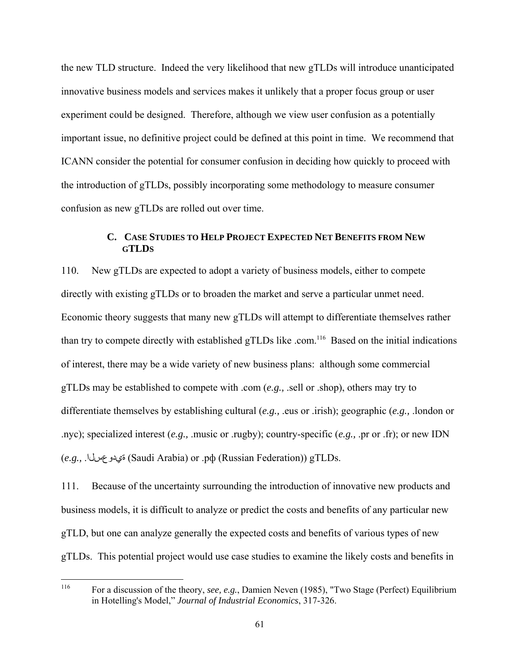the new TLD structure. Indeed the very likelihood that new gTLDs will introduce unanticipated innovative business models and services makes it unlikely that a proper focus group or user experiment could be designed. Therefore, although we view user confusion as a potentially important issue, no definitive project could be defined at this point in time. We recommend that ICANN consider the potential for consumer confusion in deciding how quickly to proceed with the introduction of gTLDs, possibly incorporating some methodology to measure consumer confusion as new gTLDs are rolled out over time.

# **C. CASE STUDIES TO HELP PROJECT EXPECTED NET BENEFITS FROM NEW GTLDS**

110. New gTLDs are expected to adopt a variety of business models, either to compete directly with existing gTLDs or to broaden the market and serve a particular unmet need. Economic theory suggests that many new gTLDs will attempt to differentiate themselves rather than try to compete directly with established gTLDs like .com.<sup>116</sup> Based on the initial indications of interest, there may be a wide variety of new business plans: although some commercial gTLDs may be established to compete with .com (*e.g.,* .sell or .shop), others may try to differentiate themselves by establishing cultural (*e.g.,* .eus or .irish); geographic (*e.g.,* .london or .nyc); specialized interest (*e.g.,* .music or .rugby); country-specific (*e.g.,* .pr or .fr); or new IDN (*e.g.,* .ةيدوعسلا) Saudi Arabia) or .рф (Russian Federation)) gTLDs.

111. Because of the uncertainty surrounding the introduction of innovative new products and business models, it is difficult to analyze or predict the costs and benefits of any particular new gTLD, but one can analyze generally the expected costs and benefits of various types of new gTLDs. This potential project would use case studies to examine the likely costs and benefits in

<sup>116</sup> 116 For a discussion of the theory, *see, e.g.*, Damien Neven (1985), "Two Stage (Perfect) Equilibrium in Hotelling's Model," *Journal of Industrial Economics*, 317-326.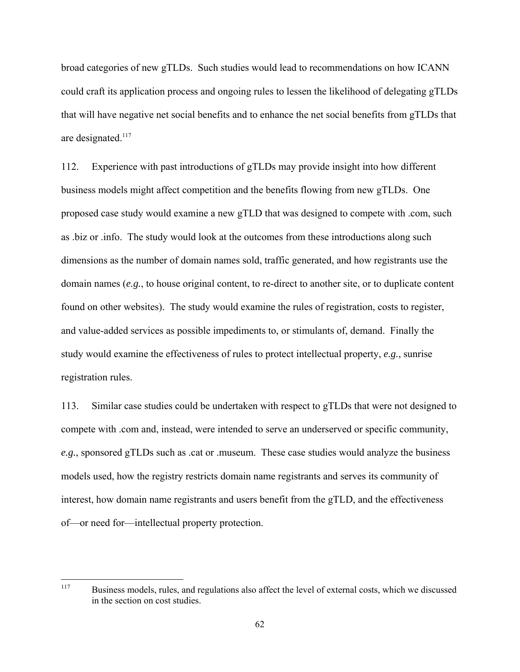broad categories of new gTLDs. Such studies would lead to recommendations on how ICANN could craft its application process and ongoing rules to lessen the likelihood of delegating gTLDs that will have negative net social benefits and to enhance the net social benefits from gTLDs that are designated.<sup>117</sup>

112. Experience with past introductions of gTLDs may provide insight into how different business models might affect competition and the benefits flowing from new gTLDs. One proposed case study would examine a new gTLD that was designed to compete with .com, such as .biz or .info. The study would look at the outcomes from these introductions along such dimensions as the number of domain names sold, traffic generated, and how registrants use the domain names (*e.g.*, to house original content, to re-direct to another site, or to duplicate content found on other websites). The study would examine the rules of registration, costs to register, and value-added services as possible impediments to, or stimulants of, demand. Finally the study would examine the effectiveness of rules to protect intellectual property, *e.g.*, sunrise registration rules.

113. Similar case studies could be undertaken with respect to gTLDs that were not designed to compete with .com and, instead, were intended to serve an underserved or specific community, *e.g.*, sponsored gTLDs such as .cat or .museum. These case studies would analyze the business models used, how the registry restricts domain name registrants and serves its community of interest, how domain name registrants and users benefit from the gTLD, and the effectiveness of—or need for—intellectual property protection.

<sup>117</sup> 117 Business models, rules, and regulations also affect the level of external costs, which we discussed in the section on cost studies.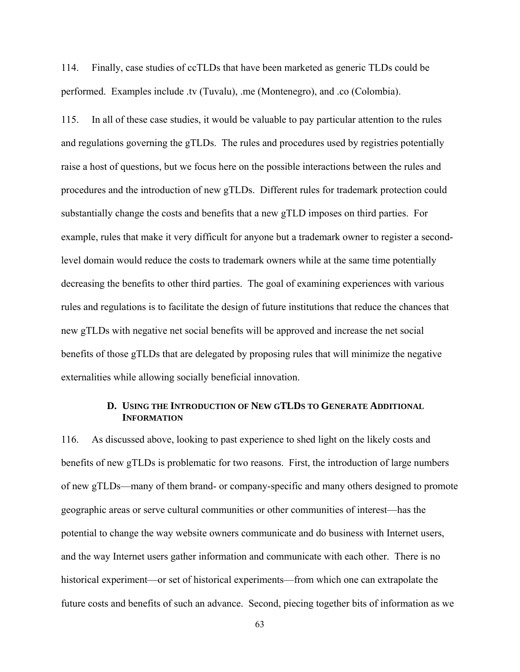114. Finally, case studies of ccTLDs that have been marketed as generic TLDs could be performed. Examples include .tv (Tuvalu), .me (Montenegro), and .co (Colombia).

115. In all of these case studies, it would be valuable to pay particular attention to the rules and regulations governing the gTLDs. The rules and procedures used by registries potentially raise a host of questions, but we focus here on the possible interactions between the rules and procedures and the introduction of new gTLDs. Different rules for trademark protection could substantially change the costs and benefits that a new gTLD imposes on third parties. For example, rules that make it very difficult for anyone but a trademark owner to register a secondlevel domain would reduce the costs to trademark owners while at the same time potentially decreasing the benefits to other third parties. The goal of examining experiences with various rules and regulations is to facilitate the design of future institutions that reduce the chances that new gTLDs with negative net social benefits will be approved and increase the net social benefits of those gTLDs that are delegated by proposing rules that will minimize the negative externalities while allowing socially beneficial innovation.

# **D. USING THE INTRODUCTION OF NEW GTLDS TO GENERATE ADDITIONAL INFORMATION**

116. As discussed above, looking to past experience to shed light on the likely costs and benefits of new gTLDs is problematic for two reasons. First, the introduction of large numbers of new gTLDs—many of them brand- or company-specific and many others designed to promote geographic areas or serve cultural communities or other communities of interest—has the potential to change the way website owners communicate and do business with Internet users, and the way Internet users gather information and communicate with each other. There is no historical experiment—or set of historical experiments—from which one can extrapolate the future costs and benefits of such an advance. Second, piecing together bits of information as we

63